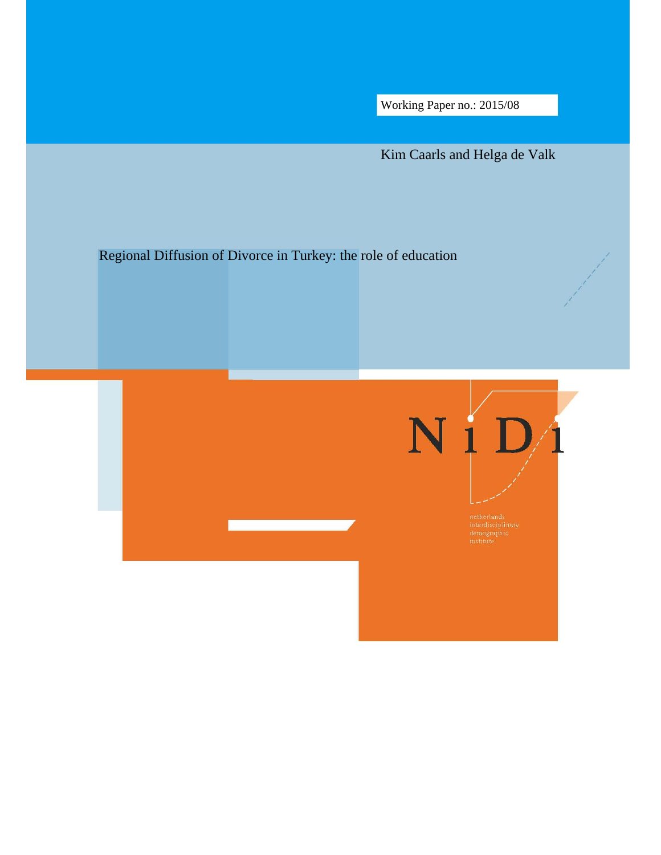Working Paper no.: 2015/08

Kim Caarls and Helga de Valk

# Regional Diffusion of Divorce in Turkey: the role of education

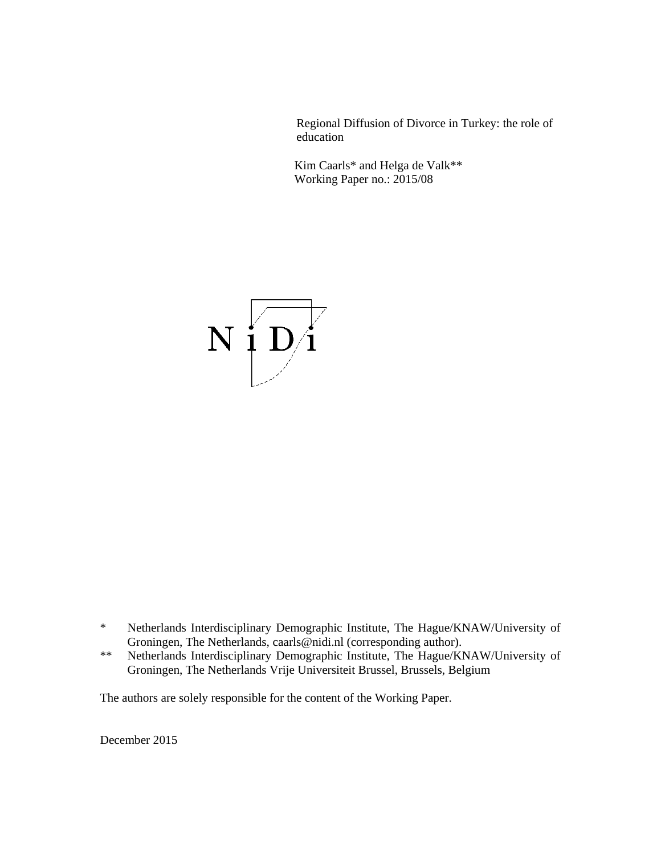Regional Diffusion of Divorce in Turkey: the role of education

Kim Caarls\* and Helga de Valk\*\* Working Paper no.: 2015/08



- \* Netherlands Interdisciplinary Demographic Institute, The Hague/KNAW/University of Groningen, The Netherlands, caarls@nidi.nl (corresponding author).
- \*\* Netherlands Interdisciplinary Demographic Institute, The Hague/KNAW/University of Groningen, The Netherlands Vrije Universiteit Brussel, Brussels, Belgium

The authors are solely responsible for the content of the Working Paper.

December 2015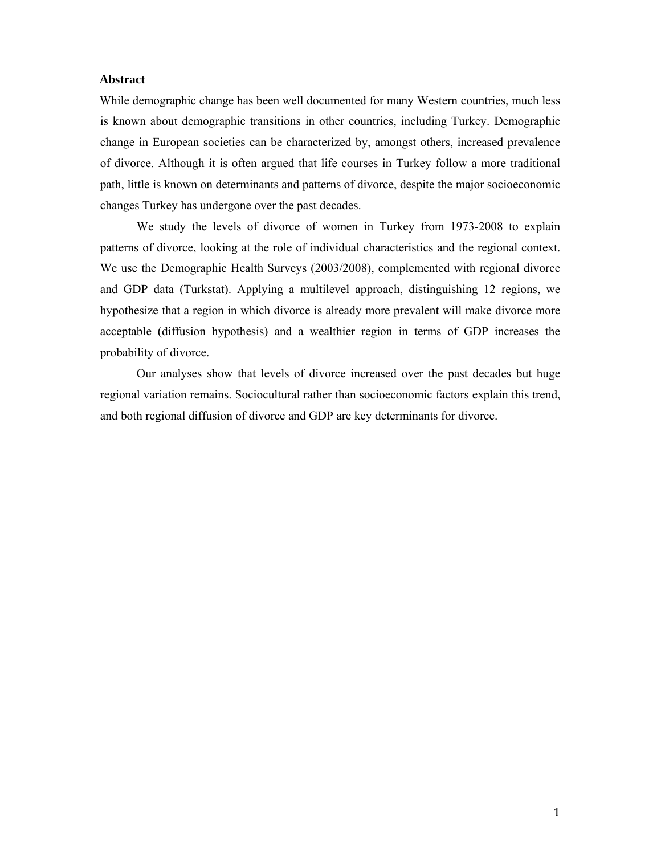### **Abstract**

While demographic change has been well documented for many Western countries, much less is known about demographic transitions in other countries, including Turkey. Demographic change in European societies can be characterized by, amongst others, increased prevalence of divorce. Although it is often argued that life courses in Turkey follow a more traditional path, little is known on determinants and patterns of divorce, despite the major socioeconomic changes Turkey has undergone over the past decades.

We study the levels of divorce of women in Turkey from 1973-2008 to explain patterns of divorce, looking at the role of individual characteristics and the regional context. We use the Demographic Health Surveys (2003/2008), complemented with regional divorce and GDP data (Turkstat). Applying a multilevel approach, distinguishing 12 regions, we hypothesize that a region in which divorce is already more prevalent will make divorce more acceptable (diffusion hypothesis) and a wealthier region in terms of GDP increases the probability of divorce.

Our analyses show that levels of divorce increased over the past decades but huge regional variation remains. Sociocultural rather than socioeconomic factors explain this trend, and both regional diffusion of divorce and GDP are key determinants for divorce.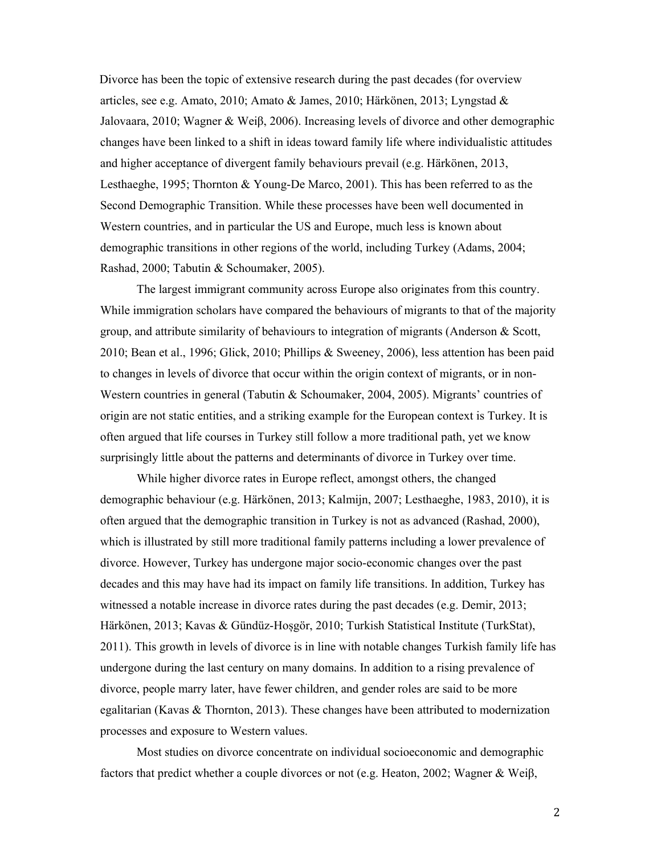Divorce has been the topic of extensive research during the past decades (for overview articles, see e.g. Amato, 2010; Amato & James, 2010; Härkönen, 2013; Lyngstad & Jalovaara, 2010; Wagner & Weiβ, 2006). Increasing levels of divorce and other demographic changes have been linked to a shift in ideas toward family life where individualistic attitudes and higher acceptance of divergent family behaviours prevail (e.g. Härkönen, 2013, Lesthaeghe, 1995; Thornton & Young-De Marco, 2001). This has been referred to as the Second Demographic Transition. While these processes have been well documented in Western countries, and in particular the US and Europe, much less is known about demographic transitions in other regions of the world, including Turkey (Adams, 2004; Rashad, 2000; Tabutin & Schoumaker, 2005).

The largest immigrant community across Europe also originates from this country. While immigration scholars have compared the behaviours of migrants to that of the majority group, and attribute similarity of behaviours to integration of migrants (Anderson & Scott, 2010; Bean et al., 1996; Glick, 2010; Phillips & Sweeney, 2006), less attention has been paid to changes in levels of divorce that occur within the origin context of migrants, or in non-Western countries in general (Tabutin & Schoumaker, 2004, 2005). Migrants' countries of origin are not static entities, and a striking example for the European context is Turkey. It is often argued that life courses in Turkey still follow a more traditional path, yet we know surprisingly little about the patterns and determinants of divorce in Turkey over time.

While higher divorce rates in Europe reflect, amongst others, the changed demographic behaviour (e.g. Härkönen, 2013; Kalmijn, 2007; Lesthaeghe, 1983, 2010), it is often argued that the demographic transition in Turkey is not as advanced (Rashad, 2000), which is illustrated by still more traditional family patterns including a lower prevalence of divorce. However, Turkey has undergone major socio-economic changes over the past decades and this may have had its impact on family life transitions. In addition, Turkey has witnessed a notable increase in divorce rates during the past decades (e.g. Demir, 2013; Härkönen, 2013; Kavas & Gündüz-Hoșgör, 2010; Turkish Statistical Institute (TurkStat), 2011). This growth in levels of divorce is in line with notable changes Turkish family life has undergone during the last century on many domains. In addition to a rising prevalence of divorce, people marry later, have fewer children, and gender roles are said to be more egalitarian (Kavas & Thornton, 2013). These changes have been attributed to modernization processes and exposure to Western values.

Most studies on divorce concentrate on individual socioeconomic and demographic factors that predict whether a couple divorces or not (e.g. Heaton, 2002; Wagner & Weiβ,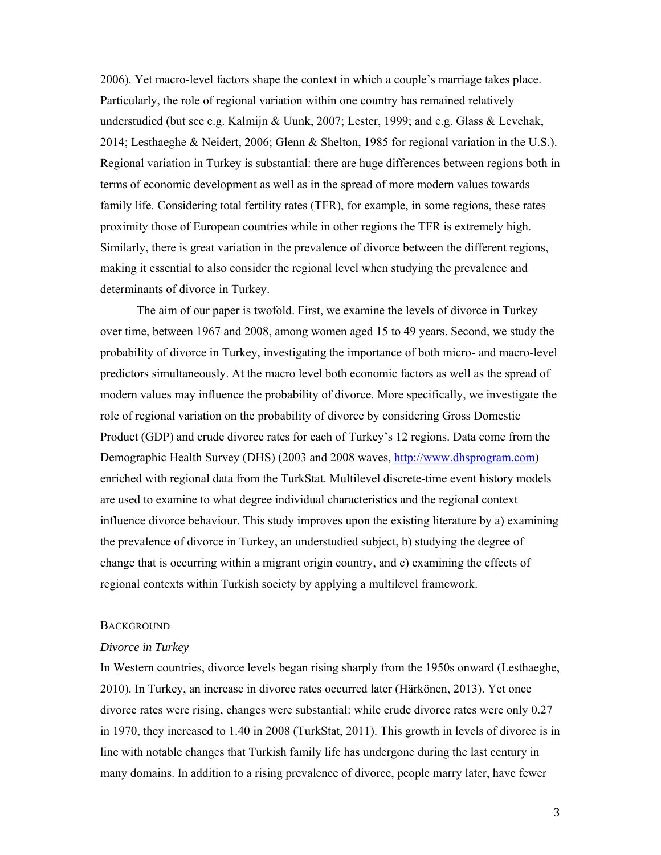2006). Yet macro-level factors shape the context in which a couple's marriage takes place. Particularly, the role of regional variation within one country has remained relatively understudied (but see e.g. Kalmijn & Uunk, 2007; Lester, 1999; and e.g. Glass & Levchak, 2014; Lesthaeghe & Neidert, 2006; Glenn & Shelton, 1985 for regional variation in the U.S.). Regional variation in Turkey is substantial: there are huge differences between regions both in terms of economic development as well as in the spread of more modern values towards family life. Considering total fertility rates (TFR), for example, in some regions, these rates proximity those of European countries while in other regions the TFR is extremely high. Similarly, there is great variation in the prevalence of divorce between the different regions, making it essential to also consider the regional level when studying the prevalence and determinants of divorce in Turkey.

The aim of our paper is twofold. First, we examine the levels of divorce in Turkey over time, between 1967 and 2008, among women aged 15 to 49 years. Second, we study the probability of divorce in Turkey, investigating the importance of both micro- and macro-level predictors simultaneously. At the macro level both economic factors as well as the spread of modern values may influence the probability of divorce. More specifically, we investigate the role of regional variation on the probability of divorce by considering Gross Domestic Product (GDP) and crude divorce rates for each of Turkey's 12 regions. Data come from the Demographic Health Survey (DHS) (2003 and 2008 waves, http://www.dhsprogram.com) enriched with regional data from the TurkStat. Multilevel discrete-time event history models are used to examine to what degree individual characteristics and the regional context influence divorce behaviour. This study improves upon the existing literature by a) examining the prevalence of divorce in Turkey, an understudied subject, b) studying the degree of change that is occurring within a migrant origin country, and c) examining the effects of regional contexts within Turkish society by applying a multilevel framework.

### **BACKGROUND**

#### *Divorce in Turkey*

In Western countries, divorce levels began rising sharply from the 1950s onward (Lesthaeghe, 2010). In Turkey, an increase in divorce rates occurred later (Härkönen, 2013). Yet once divorce rates were rising, changes were substantial: while crude divorce rates were only 0.27 in 1970, they increased to 1.40 in 2008 (TurkStat, 2011). This growth in levels of divorce is in line with notable changes that Turkish family life has undergone during the last century in many domains. In addition to a rising prevalence of divorce, people marry later, have fewer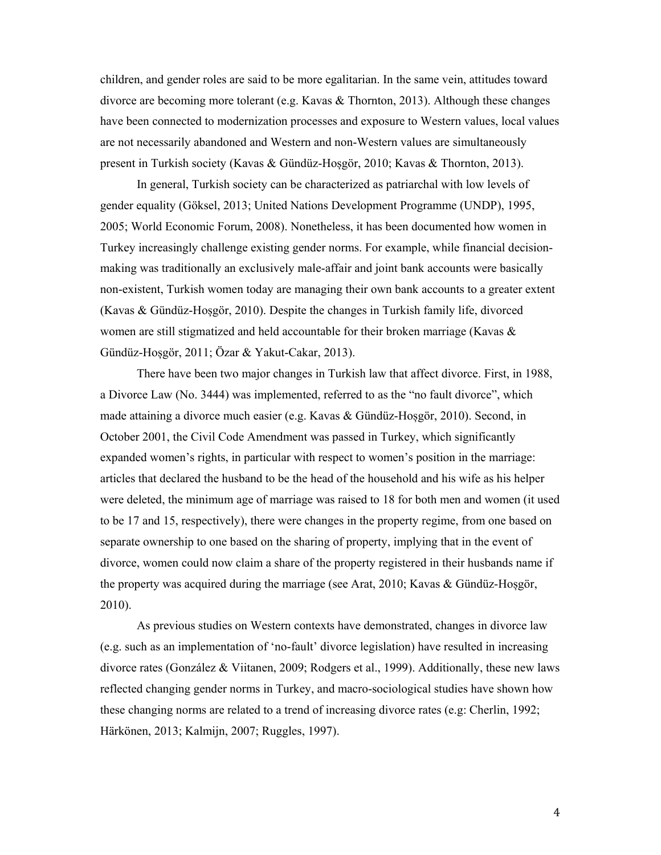children, and gender roles are said to be more egalitarian. In the same vein, attitudes toward divorce are becoming more tolerant (e.g. Kavas & Thornton, 2013). Although these changes have been connected to modernization processes and exposure to Western values, local values are not necessarily abandoned and Western and non-Western values are simultaneously present in Turkish society (Kavas & Gündüz-Hoșgör, 2010; Kavas & Thornton, 2013).

In general, Turkish society can be characterized as patriarchal with low levels of gender equality (Göksel, 2013; United Nations Development Programme (UNDP), 1995, 2005; World Economic Forum, 2008). Nonetheless, it has been documented how women in Turkey increasingly challenge existing gender norms. For example, while financial decisionmaking was traditionally an exclusively male-affair and joint bank accounts were basically non-existent, Turkish women today are managing their own bank accounts to a greater extent (Kavas & Gündüz-Hoșgör, 2010). Despite the changes in Turkish family life, divorced women are still stigmatized and held accountable for their broken marriage (Kavas & Gündüz-Hoșgör, 2011; Özar & Yakut-Cakar, 2013).

 There have been two major changes in Turkish law that affect divorce. First, in 1988, a Divorce Law (No. 3444) was implemented, referred to as the "no fault divorce", which made attaining a divorce much easier (e.g. Kavas & Gündüz-Hoșgör, 2010). Second, in October 2001, the Civil Code Amendment was passed in Turkey, which significantly expanded women's rights, in particular with respect to women's position in the marriage: articles that declared the husband to be the head of the household and his wife as his helper were deleted, the minimum age of marriage was raised to 18 for both men and women (it used to be 17 and 15, respectively), there were changes in the property regime, from one based on separate ownership to one based on the sharing of property, implying that in the event of divorce, women could now claim a share of the property registered in their husbands name if the property was acquired during the marriage (see Arat, 2010; Kavas & Gündüz-Hoșgör, 2010).

As previous studies on Western contexts have demonstrated, changes in divorce law (e.g. such as an implementation of 'no-fault' divorce legislation) have resulted in increasing divorce rates (González & Viitanen, 2009; Rodgers et al., 1999). Additionally, these new laws reflected changing gender norms in Turkey, and macro-sociological studies have shown how these changing norms are related to a trend of increasing divorce rates (e.g: Cherlin, 1992; Härkönen, 2013; Kalmijn, 2007; Ruggles, 1997).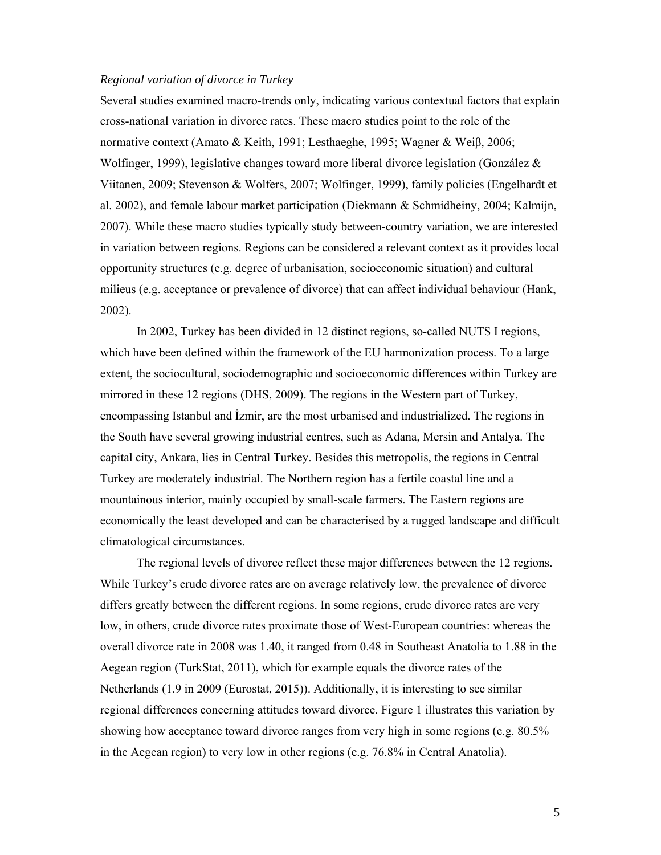### *Regional variation of divorce in Turkey*

Several studies examined macro-trends only, indicating various contextual factors that explain cross-national variation in divorce rates. These macro studies point to the role of the normative context (Amato & Keith, 1991; Lesthaeghe, 1995; Wagner & Weiβ, 2006; Wolfinger, 1999), legislative changes toward more liberal divorce legislation (González & Viitanen, 2009; Stevenson & Wolfers, 2007; Wolfinger, 1999), family policies (Engelhardt et al. 2002), and female labour market participation (Diekmann & Schmidheiny, 2004; Kalmijn, 2007). While these macro studies typically study between-country variation, we are interested in variation between regions. Regions can be considered a relevant context as it provides local opportunity structures (e.g. degree of urbanisation, socioeconomic situation) and cultural milieus (e.g. acceptance or prevalence of divorce) that can affect individual behaviour (Hank, 2002).

In 2002, Turkey has been divided in 12 distinct regions, so-called NUTS I regions, which have been defined within the framework of the EU harmonization process. To a large extent, the sociocultural, sociodemographic and socioeconomic differences within Turkey are mirrored in these 12 regions (DHS, 2009). The regions in the Western part of Turkey, encompassing Istanbul and İzmir, are the most urbanised and industrialized. The regions in the South have several growing industrial centres, such as Adana, Mersin and Antalya. The capital city, Ankara, lies in Central Turkey. Besides this metropolis, the regions in Central Turkey are moderately industrial. The Northern region has a fertile coastal line and a mountainous interior, mainly occupied by small-scale farmers. The Eastern regions are economically the least developed and can be characterised by a rugged landscape and difficult climatological circumstances.

The regional levels of divorce reflect these major differences between the 12 regions. While Turkey's crude divorce rates are on average relatively low, the prevalence of divorce differs greatly between the different regions. In some regions, crude divorce rates are very low, in others, crude divorce rates proximate those of West-European countries: whereas the overall divorce rate in 2008 was 1.40, it ranged from 0.48 in Southeast Anatolia to 1.88 in the Aegean region (TurkStat, 2011), which for example equals the divorce rates of the Netherlands (1.9 in 2009 (Eurostat, 2015)). Additionally, it is interesting to see similar regional differences concerning attitudes toward divorce. Figure 1 illustrates this variation by showing how acceptance toward divorce ranges from very high in some regions (e.g. 80.5% in the Aegean region) to very low in other regions (e.g. 76.8% in Central Anatolia).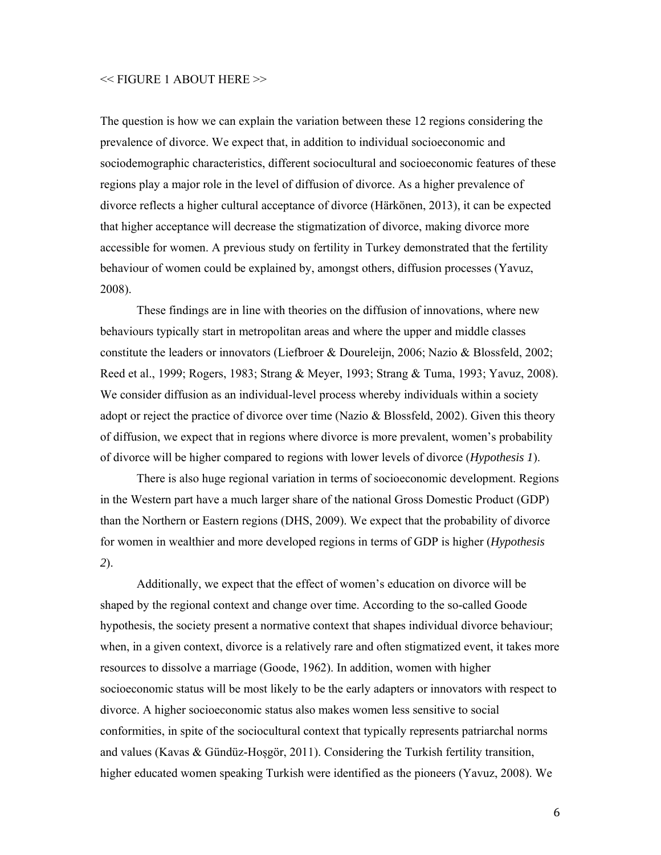#### << FIGURE 1 ABOUT HERE >>

The question is how we can explain the variation between these 12 regions considering the prevalence of divorce. We expect that, in addition to individual socioeconomic and sociodemographic characteristics, different sociocultural and socioeconomic features of these regions play a major role in the level of diffusion of divorce. As a higher prevalence of divorce reflects a higher cultural acceptance of divorce (Härkönen, 2013), it can be expected that higher acceptance will decrease the stigmatization of divorce, making divorce more accessible for women. A previous study on fertility in Turkey demonstrated that the fertility behaviour of women could be explained by, amongst others, diffusion processes (Yavuz, 2008).

These findings are in line with theories on the diffusion of innovations, where new behaviours typically start in metropolitan areas and where the upper and middle classes constitute the leaders or innovators (Liefbroer & Doureleijn, 2006; Nazio & Blossfeld, 2002; Reed et al., 1999; Rogers, 1983; Strang & Meyer, 1993; Strang & Tuma, 1993; Yavuz, 2008). We consider diffusion as an individual-level process whereby individuals within a society adopt or reject the practice of divorce over time (Nazio & Blossfeld, 2002). Given this theory of diffusion, we expect that in regions where divorce is more prevalent, women's probability of divorce will be higher compared to regions with lower levels of divorce (*Hypothesis 1*).

There is also huge regional variation in terms of socioeconomic development. Regions in the Western part have a much larger share of the national Gross Domestic Product (GDP) than the Northern or Eastern regions (DHS, 2009). We expect that the probability of divorce for women in wealthier and more developed regions in terms of GDP is higher (*Hypothesis 2*).

Additionally, we expect that the effect of women's education on divorce will be shaped by the regional context and change over time. According to the so-called Goode hypothesis, the society present a normative context that shapes individual divorce behaviour; when, in a given context, divorce is a relatively rare and often stigmatized event, it takes more resources to dissolve a marriage (Goode, 1962). In addition, women with higher socioeconomic status will be most likely to be the early adapters or innovators with respect to divorce. A higher socioeconomic status also makes women less sensitive to social conformities, in spite of the sociocultural context that typically represents patriarchal norms and values (Kavas  $\&$  Gündüz-Hoşgör, 2011). Considering the Turkish fertility transition, higher educated women speaking Turkish were identified as the pioneers (Yavuz, 2008). We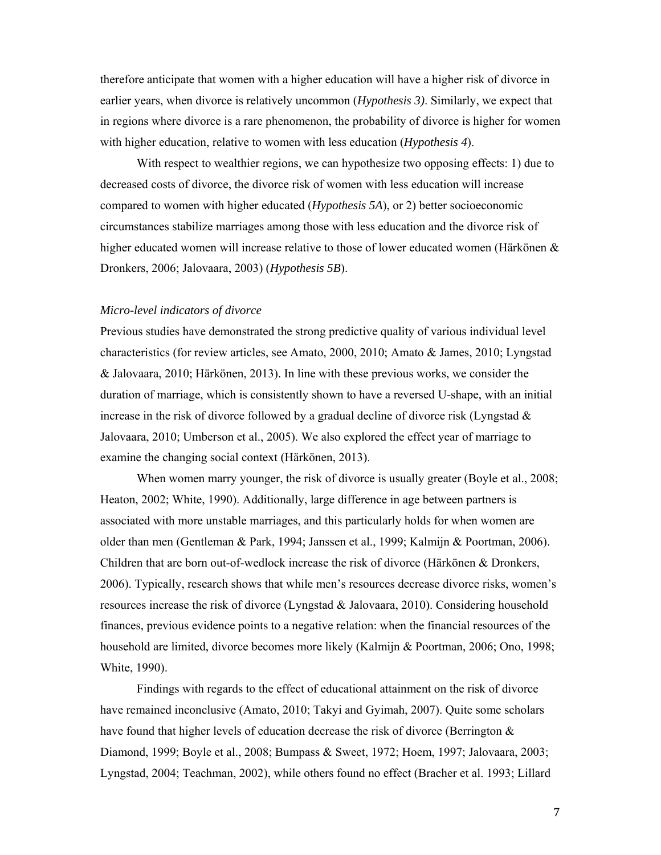therefore anticipate that women with a higher education will have a higher risk of divorce in earlier years, when divorce is relatively uncommon (*Hypothesis 3)*. Similarly, we expect that in regions where divorce is a rare phenomenon, the probability of divorce is higher for women with higher education, relative to women with less education (*Hypothesis 4*).

With respect to wealthier regions, we can hypothesize two opposing effects: 1) due to decreased costs of divorce, the divorce risk of women with less education will increase compared to women with higher educated (*Hypothesis 5A*), or 2) better socioeconomic circumstances stabilize marriages among those with less education and the divorce risk of higher educated women will increase relative to those of lower educated women (Härkönen & Dronkers, 2006; Jalovaara, 2003) (*Hypothesis 5B*).

### *Micro-level indicators of divorce*

Previous studies have demonstrated the strong predictive quality of various individual level characteristics (for review articles, see Amato, 2000, 2010; Amato & James, 2010; Lyngstad & Jalovaara, 2010; Härkönen, 2013). In line with these previous works, we consider the duration of marriage, which is consistently shown to have a reversed U-shape, with an initial increase in the risk of divorce followed by a gradual decline of divorce risk (Lyngstad  $\&$ Jalovaara, 2010; Umberson et al., 2005). We also explored the effect year of marriage to examine the changing social context (Härkönen, 2013).

When women marry younger, the risk of divorce is usually greater (Boyle et al., 2008; Heaton, 2002; White, 1990). Additionally, large difference in age between partners is associated with more unstable marriages, and this particularly holds for when women are older than men (Gentleman & Park, 1994; Janssen et al., 1999; Kalmijn & Poortman, 2006). Children that are born out-of-wedlock increase the risk of divorce (Härkönen & Dronkers, 2006). Typically, research shows that while men's resources decrease divorce risks, women's resources increase the risk of divorce (Lyngstad & Jalovaara, 2010). Considering household finances, previous evidence points to a negative relation: when the financial resources of the household are limited, divorce becomes more likely (Kalmijn & Poortman, 2006; Ono, 1998; White, 1990).

Findings with regards to the effect of educational attainment on the risk of divorce have remained inconclusive (Amato, 2010; Takyi and Gyimah, 2007). Quite some scholars have found that higher levels of education decrease the risk of divorce (Berrington & Diamond, 1999; Boyle et al., 2008; Bumpass & Sweet, 1972; Hoem, 1997; Jalovaara, 2003; Lyngstad, 2004; Teachman, 2002), while others found no effect (Bracher et al. 1993; Lillard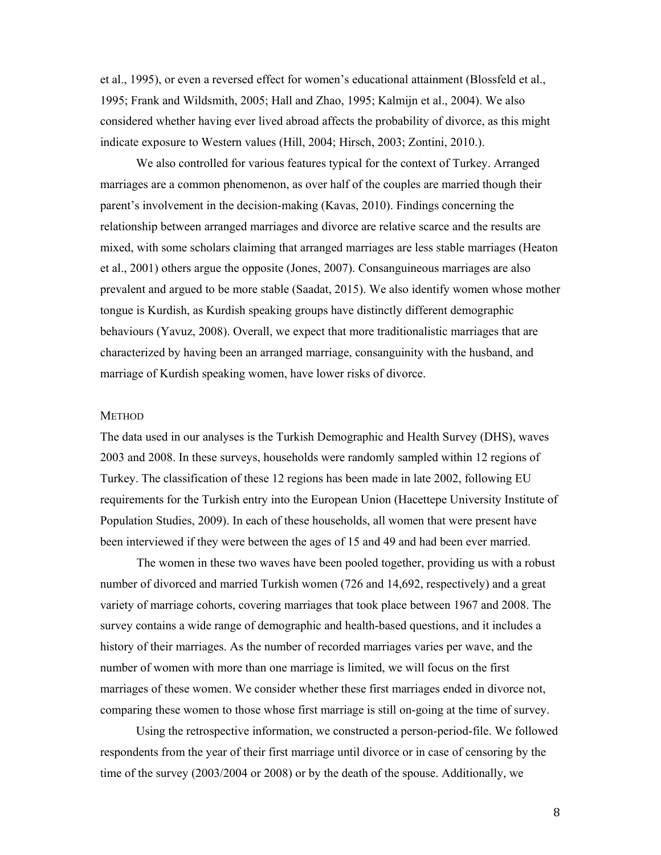et al., 1995), or even a reversed effect for women's educational attainment (Blossfeld et al., 1995; Frank and Wildsmith, 2005; Hall and Zhao, 1995; Kalmijn et al., 2004). We also considered whether having ever lived abroad affects the probability of divorce, as this might indicate exposure to Western values (Hill, 2004; Hirsch, 2003; Zontini, 2010.).

We also controlled for various features typical for the context of Turkey. Arranged marriages are a common phenomenon, as over half of the couples are married though their parent's involvement in the decision-making (Kavas, 2010). Findings concerning the relationship between arranged marriages and divorce are relative scarce and the results are mixed, with some scholars claiming that arranged marriages are less stable marriages (Heaton et al., 2001) others argue the opposite (Jones, 2007). Consanguineous marriages are also prevalent and argued to be more stable (Saadat, 2015). We also identify women whose mother tongue is Kurdish, as Kurdish speaking groups have distinctly different demographic behaviours (Yavuz, 2008). Overall, we expect that more traditionalistic marriages that are characterized by having been an arranged marriage, consanguinity with the husband, and marriage of Kurdish speaking women, have lower risks of divorce.

### **METHOD**

The data used in our analyses is the Turkish Demographic and Health Survey (DHS), waves 2003 and 2008. In these surveys, households were randomly sampled within 12 regions of Turkey. The classification of these 12 regions has been made in late 2002, following EU requirements for the Turkish entry into the European Union (Hacettepe University Institute of Population Studies, 2009). In each of these households, all women that were present have been interviewed if they were between the ages of 15 and 49 and had been ever married.

The women in these two waves have been pooled together, providing us with a robust number of divorced and married Turkish women (726 and 14,692, respectively) and a great variety of marriage cohorts, covering marriages that took place between 1967 and 2008. The survey contains a wide range of demographic and health-based questions, and it includes a history of their marriages. As the number of recorded marriages varies per wave, and the number of women with more than one marriage is limited, we will focus on the first marriages of these women. We consider whether these first marriages ended in divorce not, comparing these women to those whose first marriage is still on-going at the time of survey.

 Using the retrospective information, we constructed a person-period-file. We followed respondents from the year of their first marriage until divorce or in case of censoring by the time of the survey (2003/2004 or 2008) or by the death of the spouse. Additionally, we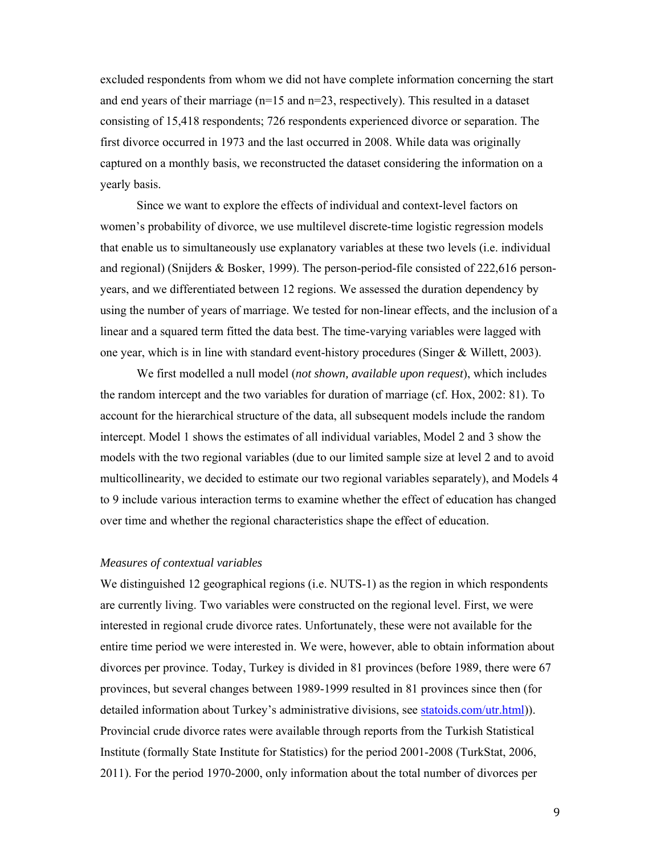excluded respondents from whom we did not have complete information concerning the start and end years of their marriage (n=15 and n=23, respectively). This resulted in a dataset consisting of 15,418 respondents; 726 respondents experienced divorce or separation. The first divorce occurred in 1973 and the last occurred in 2008. While data was originally captured on a monthly basis, we reconstructed the dataset considering the information on a yearly basis.

 Since we want to explore the effects of individual and context-level factors on women's probability of divorce, we use multilevel discrete-time logistic regression models that enable us to simultaneously use explanatory variables at these two levels (i.e. individual and regional) (Snijders & Bosker, 1999). The person-period-file consisted of 222,616 personyears, and we differentiated between 12 regions. We assessed the duration dependency by using the number of years of marriage. We tested for non-linear effects, and the inclusion of a linear and a squared term fitted the data best. The time-varying variables were lagged with one year, which is in line with standard event-history procedures (Singer & Willett, 2003).

We first modelled a null model (*not shown, available upon request*), which includes the random intercept and the two variables for duration of marriage (cf. Hox, 2002: 81). To account for the hierarchical structure of the data, all subsequent models include the random intercept. Model 1 shows the estimates of all individual variables, Model 2 and 3 show the models with the two regional variables (due to our limited sample size at level 2 and to avoid multicollinearity, we decided to estimate our two regional variables separately), and Models 4 to 9 include various interaction terms to examine whether the effect of education has changed over time and whether the regional characteristics shape the effect of education.

### *Measures of contextual variables*

We distinguished 12 geographical regions (i.e. NUTS-1) as the region in which respondents are currently living. Two variables were constructed on the regional level. First, we were interested in regional crude divorce rates. Unfortunately, these were not available for the entire time period we were interested in. We were, however, able to obtain information about divorces per province. Today, Turkey is divided in 81 provinces (before 1989, there were 67 provinces, but several changes between 1989-1999 resulted in 81 provinces since then (for detailed information about Turkey's administrative divisions, see statoids.com/utr.html)). Provincial crude divorce rates were available through reports from the Turkish Statistical Institute (formally State Institute for Statistics) for the period 2001-2008 (TurkStat, 2006, 2011). For the period 1970-2000, only information about the total number of divorces per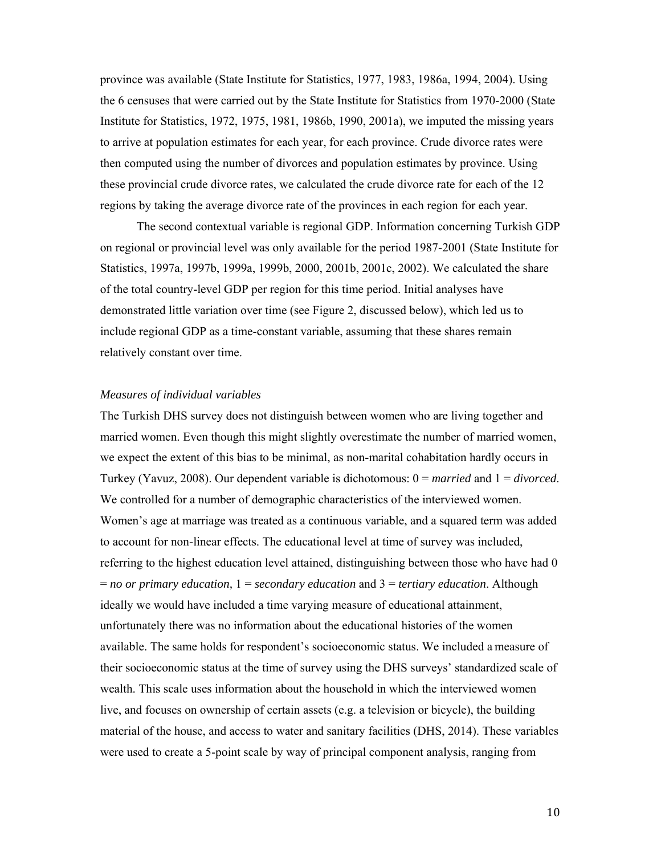province was available (State Institute for Statistics, 1977, 1983, 1986a, 1994, 2004). Using the 6 censuses that were carried out by the State Institute for Statistics from 1970-2000 (State Institute for Statistics, 1972, 1975, 1981, 1986b, 1990, 2001a), we imputed the missing years to arrive at population estimates for each year, for each province. Crude divorce rates were then computed using the number of divorces and population estimates by province. Using these provincial crude divorce rates, we calculated the crude divorce rate for each of the 12 regions by taking the average divorce rate of the provinces in each region for each year.

 The second contextual variable is regional GDP. Information concerning Turkish GDP on regional or provincial level was only available for the period 1987-2001 (State Institute for Statistics, 1997a, 1997b, 1999a, 1999b, 2000, 2001b, 2001c, 2002). We calculated the share of the total country-level GDP per region for this time period. Initial analyses have demonstrated little variation over time (see Figure 2, discussed below), which led us to include regional GDP as a time-constant variable, assuming that these shares remain relatively constant over time.

### *Measures of individual variables*

The Turkish DHS survey does not distinguish between women who are living together and married women. Even though this might slightly overestimate the number of married women, we expect the extent of this bias to be minimal, as non-marital cohabitation hardly occurs in Turkey (Yavuz, 2008). Our dependent variable is dichotomous: 0 = *married* and 1 = *divorced*. We controlled for a number of demographic characteristics of the interviewed women. Women's age at marriage was treated as a continuous variable, and a squared term was added to account for non-linear effects. The educational level at time of survey was included, referring to the highest education level attained, distinguishing between those who have had 0 = *no or primary education,* 1 = *secondary education* and 3 = *tertiary education*. Although ideally we would have included a time varying measure of educational attainment, unfortunately there was no information about the educational histories of the women available. The same holds for respondent's socioeconomic status. We included a measure of their socioeconomic status at the time of survey using the DHS surveys' standardized scale of wealth. This scale uses information about the household in which the interviewed women live, and focuses on ownership of certain assets (e.g. a television or bicycle), the building material of the house, and access to water and sanitary facilities (DHS, 2014). These variables were used to create a 5-point scale by way of principal component analysis, ranging from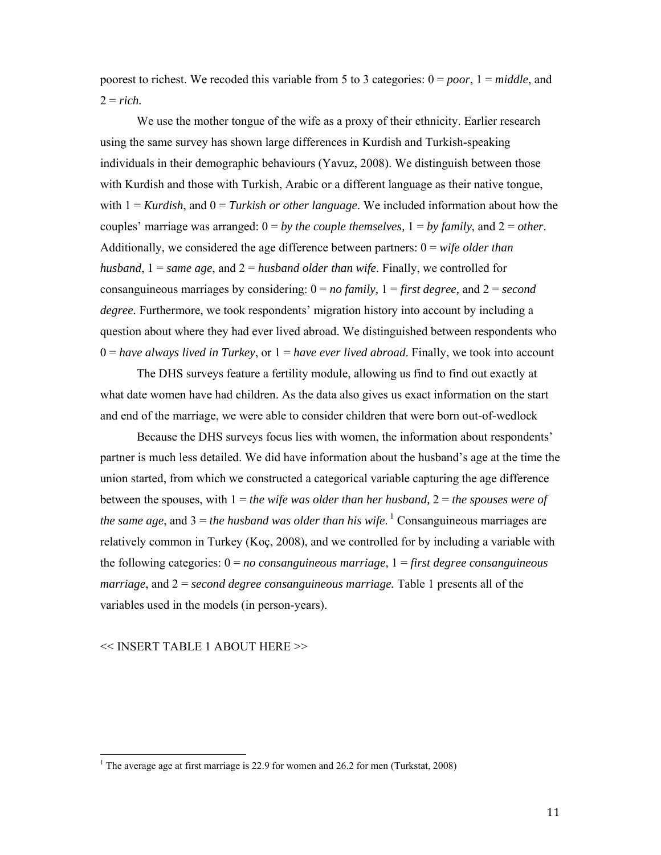poorest to richest. We recoded this variable from 5 to 3 categories: 0 = *poor*, 1 = *middle*, and  $2 =$ *rich*.

We use the mother tongue of the wife as a proxy of their ethnicity. Earlier research using the same survey has shown large differences in Kurdish and Turkish-speaking individuals in their demographic behaviours (Yavuz, 2008). We distinguish between those with Kurdish and those with Turkish, Arabic or a different language as their native tongue, with  $1 =$  *Kurdish*, and  $0 =$  *Turkish or other language*. We included information about how the couples' marriage was arranged:  $0 = by$  *the couple themselves,*  $1 = by$  *family,* and  $2 = other$ . Additionally, we considered the age difference between partners: 0 = *wife older than husband*, 1 = *same age*, and 2 = *husband older than wife*. Finally, we controlled for consanguineous marriages by considering:  $0 = no$  family,  $1 =$  *first degree,* and  $2 = second$ *degree.* Furthermore, we took respondents' migration history into account by including a question about where they had ever lived abroad. We distinguished between respondents who  $0 = have always lived in Turkey$ , or  $1 = have ever lived abroad$ . Finally, we took into account

 The DHS surveys feature a fertility module, allowing us find to find out exactly at what date women have had children. As the data also gives us exact information on the start and end of the marriage, we were able to consider children that were born out-of-wedlock

Because the DHS surveys focus lies with women, the information about respondents' partner is much less detailed. We did have information about the husband's age at the time the union started, from which we constructed a categorical variable capturing the age difference between the spouses, with 1 = *the wife was older than her husband,* 2 = *the spouses were of the same age*, and  $3 =$  *the husband was older than his wife*. <sup>1</sup> Consanguineous marriages are relatively common in Turkey (Koç, 2008), and we controlled for by including a variable with the following categories: 0 = *no consanguineous marriage,* 1 = *first degree consanguineous marriage*, and 2 = *second degree consanguineous marriage.* Table 1 presents all of the variables used in the models (in person-years).

<< INSERT TABLE 1 ABOUT HERE >>

<sup>&</sup>lt;sup>1</sup> The average age at first marriage is 22.9 for women and 26.2 for men (Turkstat, 2008)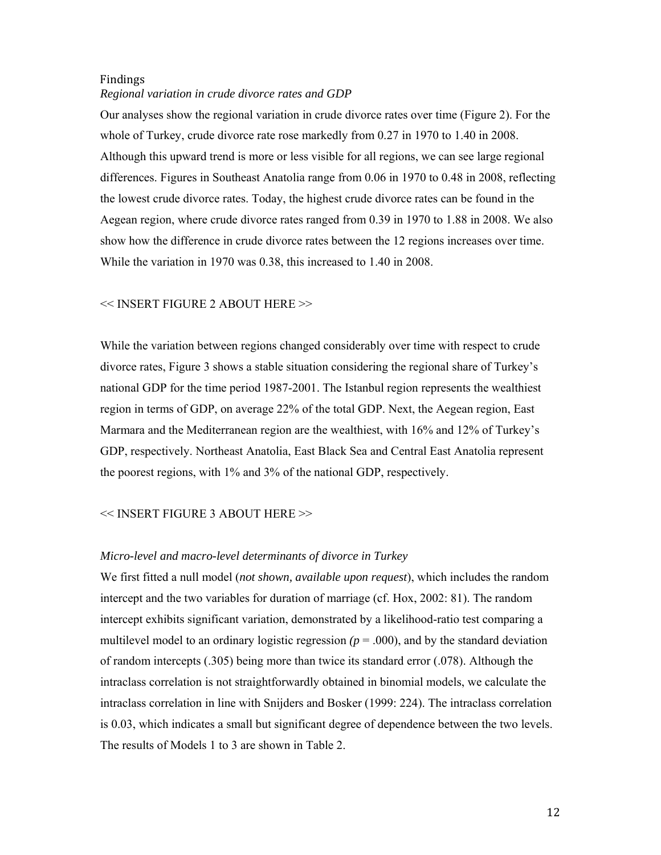## Findings *Regional variation in crude divorce rates and GDP*

Our analyses show the regional variation in crude divorce rates over time (Figure 2). For the whole of Turkey, crude divorce rate rose markedly from 0.27 in 1970 to 1.40 in 2008. Although this upward trend is more or less visible for all regions, we can see large regional differences. Figures in Southeast Anatolia range from 0.06 in 1970 to 0.48 in 2008, reflecting the lowest crude divorce rates. Today, the highest crude divorce rates can be found in the Aegean region, where crude divorce rates ranged from 0.39 in 1970 to 1.88 in 2008. We also show how the difference in crude divorce rates between the 12 regions increases over time. While the variation in 1970 was 0.38, this increased to 1.40 in 2008.

### << INSERT FIGURE 2 ABOUT HERE >>

While the variation between regions changed considerably over time with respect to crude divorce rates, Figure 3 shows a stable situation considering the regional share of Turkey's national GDP for the time period 1987-2001. The Istanbul region represents the wealthiest region in terms of GDP, on average 22% of the total GDP. Next, the Aegean region, East Marmara and the Mediterranean region are the wealthiest, with 16% and 12% of Turkey's GDP, respectively. Northeast Anatolia, East Black Sea and Central East Anatolia represent the poorest regions, with 1% and 3% of the national GDP, respectively.

### << INSERT FIGURE 3 ABOUT HERE >>

### *Micro-level and macro-level determinants of divorce in Turkey*

We first fitted a null model (*not shown, available upon request*), which includes the random intercept and the two variables for duration of marriage (cf. Hox, 2002: 81). The random intercept exhibits significant variation, demonstrated by a likelihood-ratio test comparing a multilevel model to an ordinary logistic regression  $(p = .000)$ , and by the standard deviation of random intercepts (.305) being more than twice its standard error (.078). Although the intraclass correlation is not straightforwardly obtained in binomial models, we calculate the intraclass correlation in line with Snijders and Bosker (1999: 224). The intraclass correlation is 0.03, which indicates a small but significant degree of dependence between the two levels. The results of Models 1 to 3 are shown in Table 2.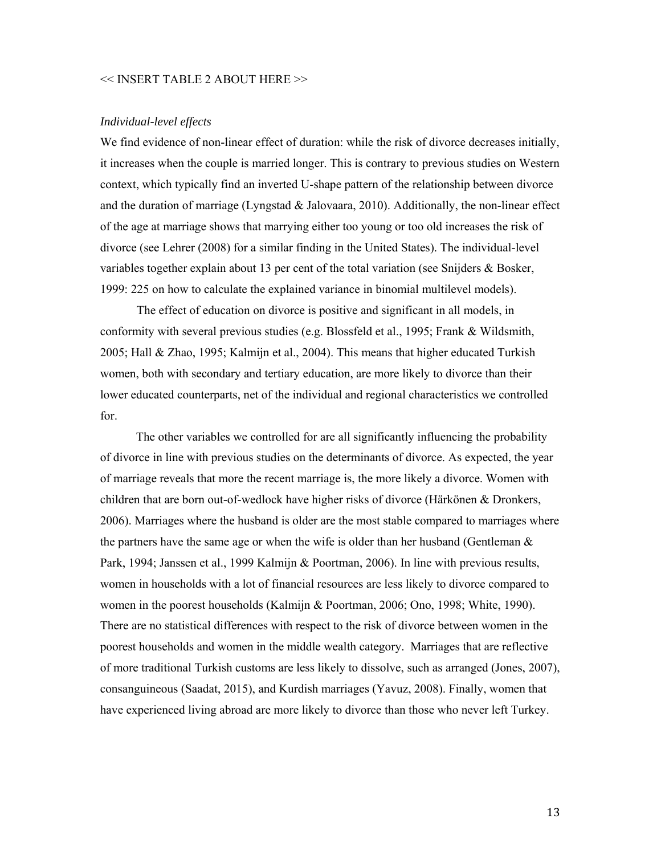### << INSERT TABLE 2 ABOUT HERE >>

### *Individual-level effects*

We find evidence of non-linear effect of duration: while the risk of divorce decreases initially, it increases when the couple is married longer. This is contrary to previous studies on Western context, which typically find an inverted U-shape pattern of the relationship between divorce and the duration of marriage (Lyngstad  $\&$  Jalovaara, 2010). Additionally, the non-linear effect of the age at marriage shows that marrying either too young or too old increases the risk of divorce (see Lehrer (2008) for a similar finding in the United States). The individual-level variables together explain about 13 per cent of the total variation (see Snijders & Bosker, 1999: 225 on how to calculate the explained variance in binomial multilevel models).

 The effect of education on divorce is positive and significant in all models, in conformity with several previous studies (e.g. Blossfeld et al., 1995; Frank & Wildsmith, 2005; Hall & Zhao, 1995; Kalmijn et al., 2004). This means that higher educated Turkish women, both with secondary and tertiary education, are more likely to divorce than their lower educated counterparts, net of the individual and regional characteristics we controlled for.

The other variables we controlled for are all significantly influencing the probability of divorce in line with previous studies on the determinants of divorce. As expected, the year of marriage reveals that more the recent marriage is, the more likely a divorce. Women with children that are born out-of-wedlock have higher risks of divorce (Härkönen & Dronkers, 2006). Marriages where the husband is older are the most stable compared to marriages where the partners have the same age or when the wife is older than her husband (Gentleman  $\&$ Park, 1994; Janssen et al., 1999 Kalmijn & Poortman, 2006). In line with previous results, women in households with a lot of financial resources are less likely to divorce compared to women in the poorest households (Kalmijn & Poortman, 2006; Ono, 1998; White, 1990). There are no statistical differences with respect to the risk of divorce between women in the poorest households and women in the middle wealth category. Marriages that are reflective of more traditional Turkish customs are less likely to dissolve, such as arranged (Jones, 2007), consanguineous (Saadat, 2015), and Kurdish marriages (Yavuz, 2008). Finally, women that have experienced living abroad are more likely to divorce than those who never left Turkey.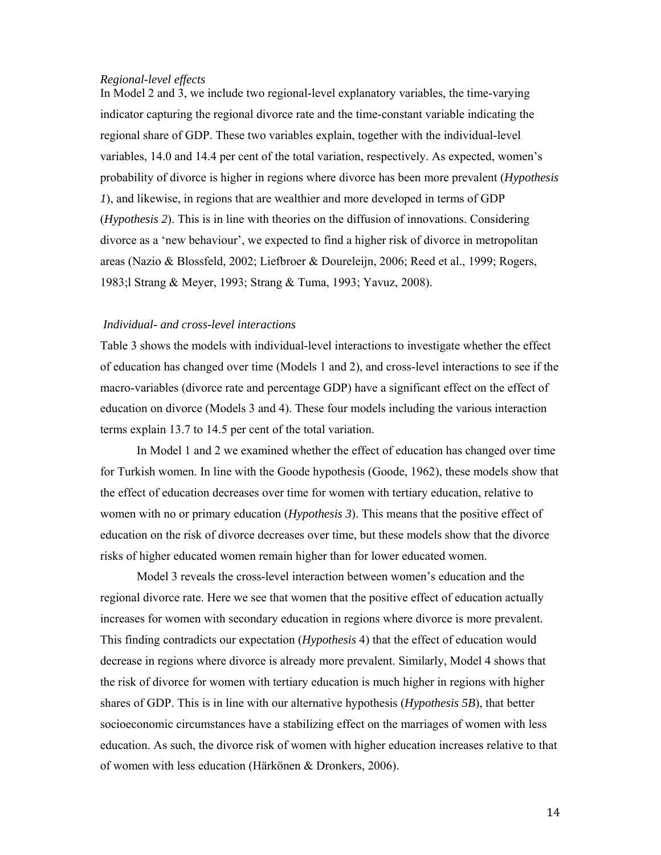### *Regional-level effects*

In Model 2 and 3, we include two regional-level explanatory variables, the time-varying indicator capturing the regional divorce rate and the time-constant variable indicating the regional share of GDP. These two variables explain, together with the individual-level variables, 14.0 and 14.4 per cent of the total variation, respectively. As expected, women's probability of divorce is higher in regions where divorce has been more prevalent (*Hypothesis 1*), and likewise, in regions that are wealthier and more developed in terms of GDP (*Hypothesis 2*). This is in line with theories on the diffusion of innovations. Considering divorce as a 'new behaviour', we expected to find a higher risk of divorce in metropolitan areas (Nazio & Blossfeld, 2002; Liefbroer & Doureleijn, 2006; Reed et al., 1999; Rogers, 1983;l Strang & Meyer, 1993; Strang & Tuma, 1993; Yavuz, 2008).

### *Individual- and cross-level interactions*

Table 3 shows the models with individual-level interactions to investigate whether the effect of education has changed over time (Models 1 and 2), and cross-level interactions to see if the macro-variables (divorce rate and percentage GDP) have a significant effect on the effect of education on divorce (Models 3 and 4). These four models including the various interaction terms explain 13.7 to 14.5 per cent of the total variation.

 In Model 1 and 2 we examined whether the effect of education has changed over time for Turkish women. In line with the Goode hypothesis (Goode, 1962), these models show that the effect of education decreases over time for women with tertiary education, relative to women with no or primary education (*Hypothesis 3*). This means that the positive effect of education on the risk of divorce decreases over time, but these models show that the divorce risks of higher educated women remain higher than for lower educated women.

Model 3 reveals the cross-level interaction between women's education and the regional divorce rate. Here we see that women that the positive effect of education actually increases for women with secondary education in regions where divorce is more prevalent. This finding contradicts our expectation (*Hypothesis* 4) that the effect of education would decrease in regions where divorce is already more prevalent. Similarly, Model 4 shows that the risk of divorce for women with tertiary education is much higher in regions with higher shares of GDP. This is in line with our alternative hypothesis (*Hypothesis 5B*), that better socioeconomic circumstances have a stabilizing effect on the marriages of women with less education. As such, the divorce risk of women with higher education increases relative to that of women with less education (Härkönen & Dronkers, 2006).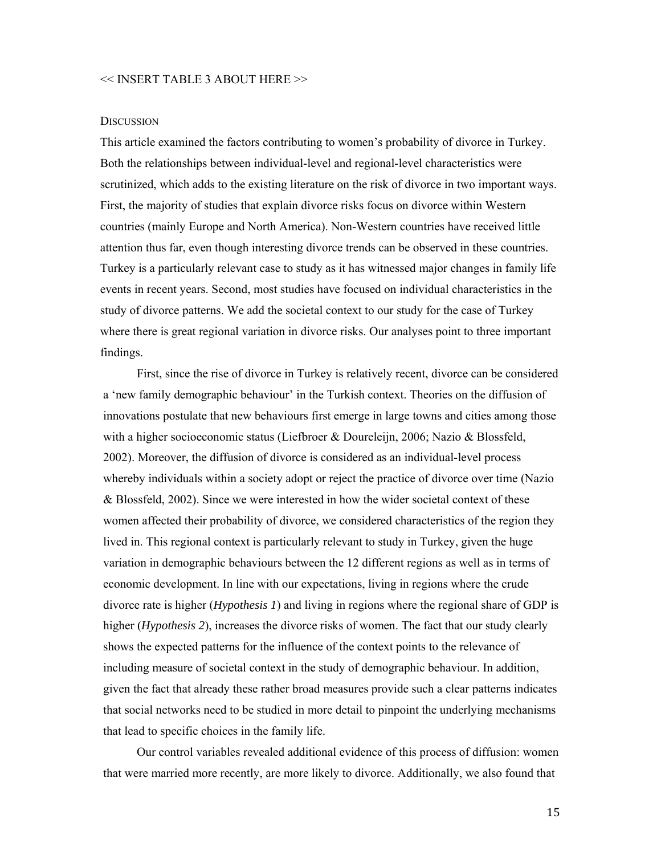### << INSERT TABLE 3 ABOUT HERE >>

### **DISCUSSION**

This article examined the factors contributing to women's probability of divorce in Turkey. Both the relationships between individual-level and regional-level characteristics were scrutinized, which adds to the existing literature on the risk of divorce in two important ways. First, the majority of studies that explain divorce risks focus on divorce within Western countries (mainly Europe and North America). Non-Western countries have received little attention thus far, even though interesting divorce trends can be observed in these countries. Turkey is a particularly relevant case to study as it has witnessed major changes in family life events in recent years. Second, most studies have focused on individual characteristics in the study of divorce patterns. We add the societal context to our study for the case of Turkey where there is great regional variation in divorce risks. Our analyses point to three important findings.

First, since the rise of divorce in Turkey is relatively recent, divorce can be considered a 'new family demographic behaviour' in the Turkish context. Theories on the diffusion of innovations postulate that new behaviours first emerge in large towns and cities among those with a higher socioeconomic status (Liefbroer & Doureleijn, 2006; Nazio & Blossfeld, 2002). Moreover, the diffusion of divorce is considered as an individual-level process whereby individuals within a society adopt or reject the practice of divorce over time (Nazio & Blossfeld, 2002). Since we were interested in how the wider societal context of these women affected their probability of divorce, we considered characteristics of the region they lived in. This regional context is particularly relevant to study in Turkey, given the huge variation in demographic behaviours between the 12 different regions as well as in terms of economic development. In line with our expectations, living in regions where the crude divorce rate is higher (*Hypothesis 1*) and living in regions where the regional share of GDP is higher (*Hypothesis 2*), increases the divorce risks of women. The fact that our study clearly shows the expected patterns for the influence of the context points to the relevance of including measure of societal context in the study of demographic behaviour. In addition, given the fact that already these rather broad measures provide such a clear patterns indicates that social networks need to be studied in more detail to pinpoint the underlying mechanisms that lead to specific choices in the family life.

Our control variables revealed additional evidence of this process of diffusion: women that were married more recently, are more likely to divorce. Additionally, we also found that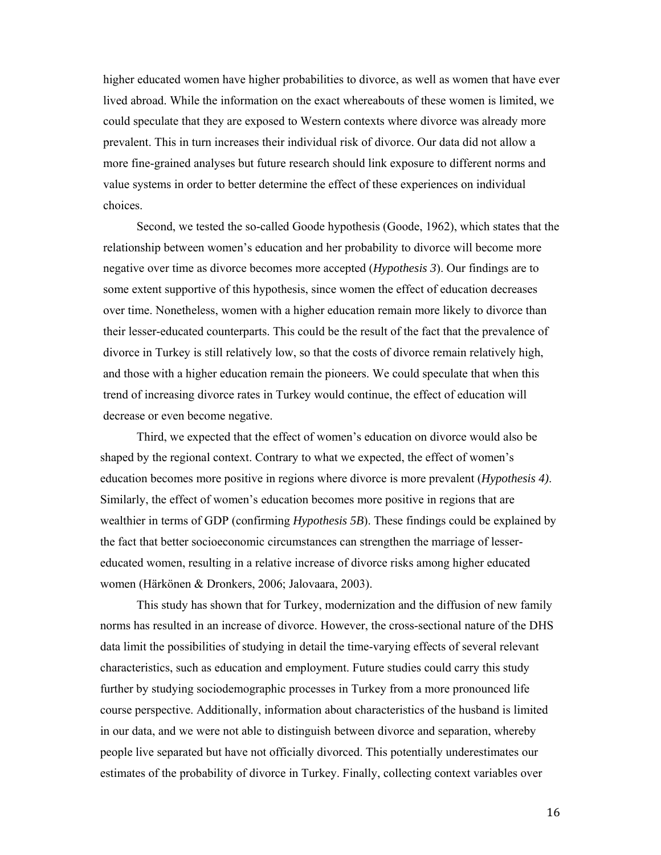higher educated women have higher probabilities to divorce, as well as women that have ever lived abroad. While the information on the exact whereabouts of these women is limited, we could speculate that they are exposed to Western contexts where divorce was already more prevalent. This in turn increases their individual risk of divorce. Our data did not allow a more fine-grained analyses but future research should link exposure to different norms and value systems in order to better determine the effect of these experiences on individual choices.

 Second, we tested the so-called Goode hypothesis (Goode, 1962), which states that the relationship between women's education and her probability to divorce will become more negative over time as divorce becomes more accepted (*Hypothesis 3*). Our findings are to some extent supportive of this hypothesis, since women the effect of education decreases over time. Nonetheless, women with a higher education remain more likely to divorce than their lesser-educated counterparts. This could be the result of the fact that the prevalence of divorce in Turkey is still relatively low, so that the costs of divorce remain relatively high, and those with a higher education remain the pioneers. We could speculate that when this trend of increasing divorce rates in Turkey would continue, the effect of education will decrease or even become negative.

Third, we expected that the effect of women's education on divorce would also be shaped by the regional context. Contrary to what we expected, the effect of women's education becomes more positive in regions where divorce is more prevalent (*Hypothesis 4)*. Similarly, the effect of women's education becomes more positive in regions that are wealthier in terms of GDP (confirming *Hypothesis 5B*). These findings could be explained by the fact that better socioeconomic circumstances can strengthen the marriage of lessereducated women, resulting in a relative increase of divorce risks among higher educated women (Härkönen & Dronkers, 2006; Jalovaara, 2003).

 This study has shown that for Turkey, modernization and the diffusion of new family norms has resulted in an increase of divorce. However, the cross-sectional nature of the DHS data limit the possibilities of studying in detail the time-varying effects of several relevant characteristics, such as education and employment. Future studies could carry this study further by studying sociodemographic processes in Turkey from a more pronounced life course perspective. Additionally, information about characteristics of the husband is limited in our data, and we were not able to distinguish between divorce and separation, whereby people live separated but have not officially divorced. This potentially underestimates our estimates of the probability of divorce in Turkey. Finally, collecting context variables over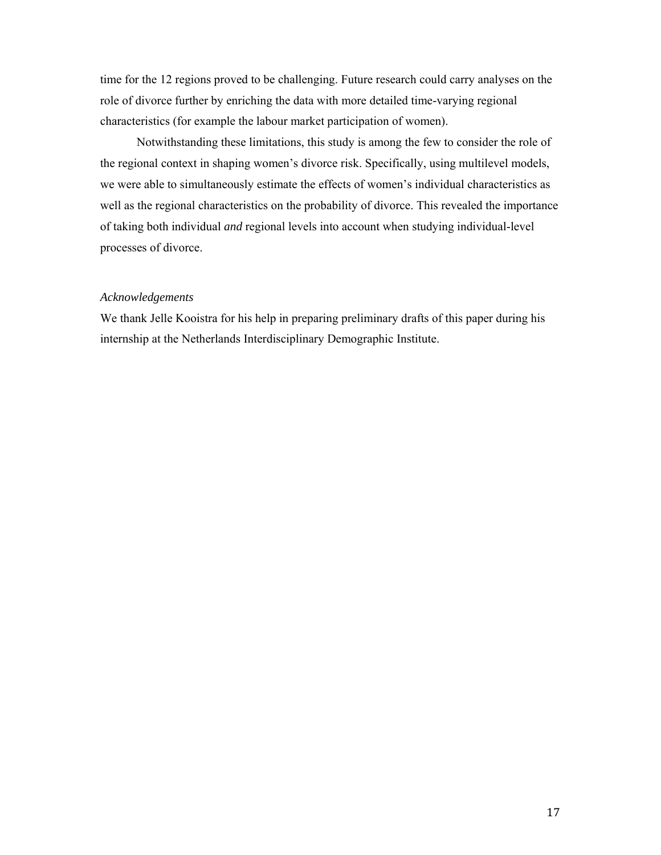time for the 12 regions proved to be challenging. Future research could carry analyses on the role of divorce further by enriching the data with more detailed time-varying regional characteristics (for example the labour market participation of women).

 Notwithstanding these limitations, this study is among the few to consider the role of the regional context in shaping women's divorce risk. Specifically, using multilevel models, we were able to simultaneously estimate the effects of women's individual characteristics as well as the regional characteristics on the probability of divorce. This revealed the importance of taking both individual *and* regional levels into account when studying individual-level processes of divorce.

### *Acknowledgements*

We thank Jelle Kooistra for his help in preparing preliminary drafts of this paper during his internship at the Netherlands Interdisciplinary Demographic Institute.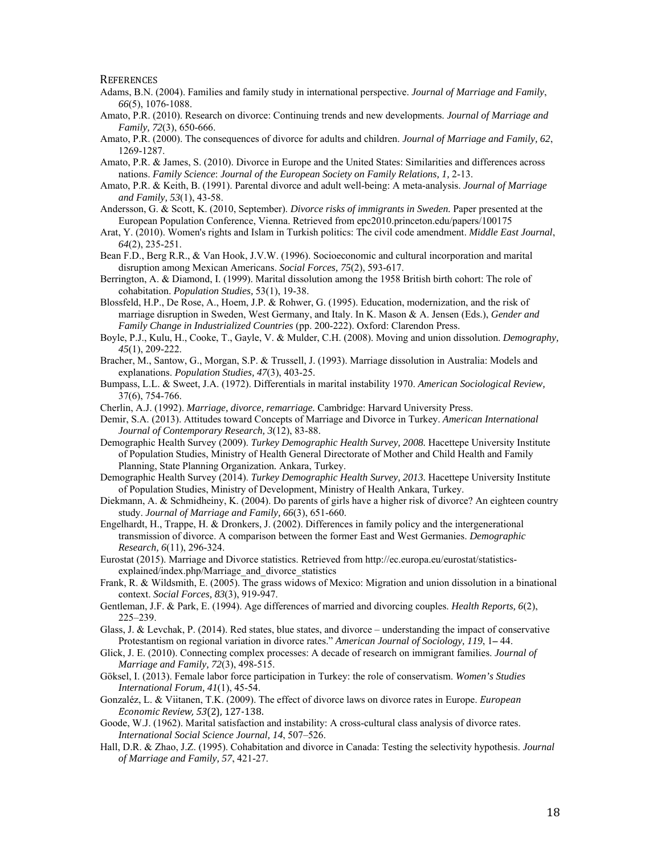**REFERENCES** 

- Adams, B.N. (2004). Families and family study in international perspective. *Journal of Marriage and Family*, *66*(5), 1076-1088.
- Amato, P.R. (2010). Research on divorce: Continuing trends and new developments. *Journal of Marriage and Family, 72*(3), 650-666.

Amato, P.R. (2000). The consequences of divorce for adults and children. *Journal of Marriage and Family, 62*, 1269-1287.

- Amato, P.R. & James, S. (2010). Divorce in Europe and the United States: Similarities and differences across nations. *Family Science*: *Journal of the European Society on Family Relations, 1,* 2-13.
- Amato, P.R. & Keith, B. (1991). Parental divorce and adult well-being: A meta-analysis. *Journal of Marriage and Family, 53*(1), 43-58.
- Andersson, G. & Scott, K. (2010, September). *Divorce risks of immigrants in Sweden.* Paper presented at the European Population Conference, Vienna. Retrieved from epc2010.princeton.edu/papers/100175
- Arat, Y. (2010). Women's rights and Islam in Turkish politics: The civil code amendment. *Middle East Journal*, *64*(2), 235-251.
- Bean F.D., Berg R.R., & Van Hook, J.V.W. (1996). Socioeconomic and cultural incorporation and marital disruption among Mexican Americans. *Social Forces, 75*(2), 593-617.
- Berrington, A. & Diamond, I. (1999). Marital dissolution among the 1958 British birth cohort: The role of cohabitation. *Population Studies,* 53(1), 19-38.
- Blossfeld, H.P., De Rose, A., Hoem, J.P. & Rohwer, G. (1995). Education, modernization, and the risk of marriage disruption in Sweden, West Germany, and Italy. In K. Mason & A. Jensen (Eds.), *Gender and Family Change in Industrialized Countries* (pp. 200-222). Oxford: Clarendon Press.
- Boyle, P.J., Kulu, H., Cooke, T., Gayle, V. & Mulder, C.H. (2008). Moving and union dissolution. *Demography, 45*(1), 209-222.
- Bracher, M., Santow, G., Morgan, S.P. & Trussell, J. (1993). Marriage dissolution in Australia: Models and explanations. *Population Studies, 47*(3), 403-25.
- Bumpass, L.L. & Sweet, J.A. (1972). Differentials in marital instability 1970. *American Sociological Review,* 37(6), 754-766.
- Cherlin, A.J. (1992). *Marriage, divorce, remarriage.* Cambridge: Harvard University Press.
- Demir, S.A. (2013). Attitudes toward Concepts of Marriage and Divorce in Turkey. *American International Journal of Contemporary Research, 3*(12), 83-88.
- Demographic Health Survey (2009). *Turkey Demographic Health Survey, 2008.* Hacettepe University Institute of Population Studies, Ministry of Health General Directorate of Mother and Child Health and Family Planning, State Planning Organization*.* Ankara, Turkey.
- Demographic Health Survey (2014). *Turkey Demographic Health Survey, 2013.* Hacettepe University Institute of Population Studies, Ministry of Development, Ministry of Health Ankara, Turkey.
- Diekmann, A. & Schmidheiny, K. (2004). Do parents of girls have a higher risk of divorce? An eighteen country study. *Journal of Marriage and Family, 66*(3), 651-660.
- Engelhardt, H., Trappe, H. & Dronkers, J. (2002). Differences in family policy and the intergenerational transmission of divorce. A comparison between the former East and West Germanies. *Demographic Research, 6*(11), 296-324.
- Eurostat (2015). Marriage and Divorce statistics. Retrieved from http://ec.europa.eu/eurostat/statisticsexplained/index.php/Marriage\_and\_divorce\_statistics
- Frank, R. & Wildsmith, E. (2005). The grass widows of Mexico: Migration and union dissolution in a binational context. *Social Forces, 83*(3), 919-947.
- Gentleman, J.F. & Park, E. (1994). Age differences of married and divorcing couples. *Health Reports, 6*(2), 225–239.
- Glass, J. & Levchak, P. (2014). Red states, blue states, and divorce understanding the impact of conservative Protestantism on regional variation in divorce rates." *American Journal of Sociology, 119*, 1**–** 44.
- Glick, J. E. (2010). Connecting complex processes: A decade of research on immigrant families. *Journal of Marriage and Family, 72*(3), 498-515.
- Göksel, I. (2013). Female labor force participation in Turkey: the role of conservatism. *Women's Studies International Forum, 41*(1), 45-54.
- Gonzaléz, L. & Viitanen, T.K. (2009). The effect of divorce laws on divorce rates in Europe. *European Economic Review, 53*(2), 127‐138.
- Goode, W.J. (1962). Marital satisfaction and instability: A cross-cultural class analysis of divorce rates. *International Social Science Journal, 14*, 507–526.
- Hall, D.R. & Zhao, J.Z. (1995). Cohabitation and divorce in Canada: Testing the selectivity hypothesis. *Journal of Marriage and Family, 57*, 421-27.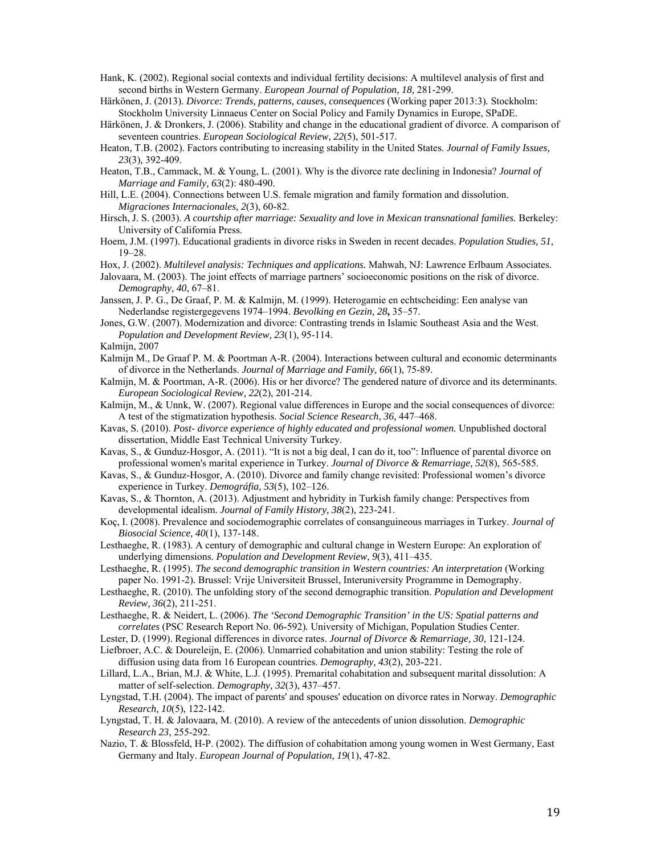Hank, K. (2002). Regional social contexts and individual fertility decisions: A multilevel analysis of first and second births in Western Germany. *European Journal of Population, 18,* 281-299.

Härkönen, J. (2013). *Divorce: Trends, patterns, causes, consequences* (Working paper 2013:3)*.* Stockholm: Stockholm University Linnaeus Center on Social Policy and Family Dynamics in Europe, SPaDE.

Härkönen, J. & Dronkers, J. (2006). Stability and change in the educational gradient of divorce. A comparison of seventeen countries. *European Sociological Review, 22*(5), 501-517.

Heaton, T.B. (2002). Factors contributing to increasing stability in the United States. *Journal of Family Issues, 23*(3)*,* 392-409.

Heaton, T.B., Cammack, M. & Young, L. (2001). Why is the divorce rate declining in Indonesia? *Journal of Marriage and Family, 63*(2): 480-490.

Hill, L.E. (2004). Connections between U.S. female migration and family formation and dissolution. *Migraciones Internacionales, 2*(3), 60-82.

Hirsch, J. S. (2003). A courtship after marriage: Sexuality and love in Mexican transnational families. Berkeley: University of California Press.

Hoem, J.M. (1997). Educational gradients in divorce risks in Sweden in recent decades. *Population Studies, 51*, 19–28.

Hox, J. (2002). *Multilevel analysis: Techniques and applications.* Mahwah, NJ: Lawrence Erlbaum Associates.

Jalovaara, M. (2003). The joint effects of marriage partners' socioeconomic positions on the risk of divorce. *Demography, 40*, 67–81.

Janssen, J. P. G., De Graaf, P. M. & Kalmijn, M. (1999). Heterogamie en echtscheiding: Een analyse van Nederlandse registergegevens 1974–1994. *Bevolking en Gezin, 28***,** 35–57.

Jones, G.W. (2007). Modernization and divorce: Contrasting trends in Islamic Southeast Asia and the West. *Population and Development Review, 23*(1), 95-114.

Kalmijn, 2007

Kalmijn M., De Graaf P. M. & Poortman A-R. (2004). Interactions between cultural and economic determinants of divorce in the Netherlands. *Journal of Marriage and Family, 66*(1), 75-89.

Kalmijn, M. & Poortman, A-R. (2006). His or her divorce? The gendered nature of divorce and its determinants. *European Sociological Review, 22*(2), 201-214.

Kalmijn, M., & Unnk, W. (2007). Regional value differences in Europe and the social consequences of divorce: A test of the stigmatization hypothesis. *Social Science Research*, *36,* 447–468.

Kavas, S. (2010). *Post- divorce experience of highly educated and professional women.* Unpublished doctoral dissertation, Middle East Technical University Turkey.

Kavas, S., & Gunduz-Hosgor, A. (2011). "It is not a big deal, I can do it, too": Influence of parental divorce on professional women's marital experience in Turkey. *Journal of Divorce & Remarriage, 52*(8), 565-585.

Kavas, S., & Gunduz-Hosgor, A. (2010). Divorce and family change revisited: Professional women's divorce experience in Turkey. *Demográfia, 53*(5), 102–126.

Kavas, S., & Thornton, A. (2013). Adjustment and hybridity in Turkish family change: Perspectives from developmental idealism. *Journal of Family History, 38*(2), 223-241.

Koç, I. (2008). Prevalence and sociodemographic correlates of consanguineous marriages in Turkey. *Journal of Biosocial Science, 40*(1), 137-148.

Lesthaeghe, R. (1983). A century of demographic and cultural change in Western Europe: An exploration of underlying dimensions. *Population and Development Review*, *9*(3), 411–435.

Lesthaeghe, R. (1995). *The second demographic transition in Western countries: An interpretation* (Working paper No. 1991-2)*.* Brussel: Vrije Universiteit Brussel, Interuniversity Programme in Demography.

Lesthaeghe, R. (2010). The unfolding story of the second demographic transition. *Population and Development Review, 36*(2), 211-251.

Lesthaeghe, R. & Neidert, L. (2006). *The 'Second Demographic Transition' in the US: Spatial patterns and correlates* (PSC Research Report No. 06-592)*.* University of Michigan, Population Studies Center.

Lester, D. (1999). Regional differences in divorce rates. *Journal of Divorce & Remarriage, 30*, 121-124.

Liefbroer, A.C. & Doureleijn, E. (2006). Unmarried cohabitation and union stability: Testing the role of diffusion using data from 16 European countries. *Demography, 43*(2), 203-221.

Lillard, L.A., Brian, M.J. & White, L.J. (1995). Premarital cohabitation and subsequent marital dissolution: A matter of self-selection. *Demography, 32*(3), 437–457.

Lyngstad, T.H. (2004). The impact of parents' and spouses' education on divorce rates in Norway. *Demographic Research, 10*(5), 122-142.

Lyngstad, T. H. & Jalovaara, M. (2010). A review of the antecedents of union dissolution. *Demographic Research 23*, 255-292.

Nazio, T. & Blossfeld, H-P. (2002). The diffusion of cohabitation among young women in West Germany, East Germany and Italy. *European Journal of Population, 19*(1), 47-82.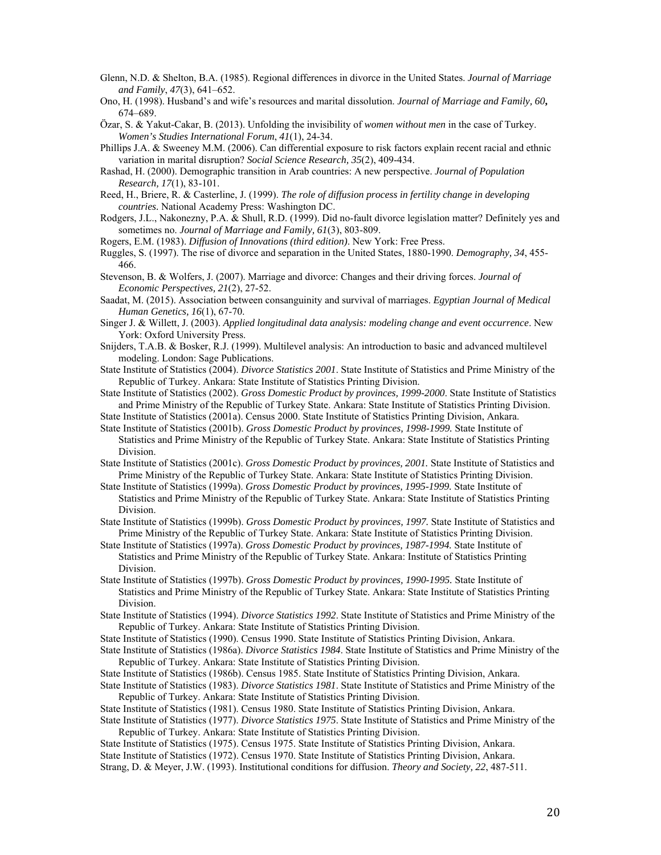- Glenn, N.D. & Shelton, B.A. (1985). Regional differences in divorce in the United States. *Journal of Marriage and Family*, *47*(3), 641–652.
- Ono, H. (1998). Husband's and wife's resources and marital dissolution. *Journal of Marriage and Family, 60***,** 674–689.
- Özar, S. & Yakut-Cakar, B. (2013). Unfolding the invisibility of *women without men* in the case of Turkey. *Women's Studies International Forum*, *41*(1), 24-34.
- Phillips J.A. & Sweeney M.M. (2006). Can differential exposure to risk factors explain recent racial and ethnic variation in marital disruption? *Social Science Research, 35*(2), 409-434.
- Rashad, H. (2000). Demographic transition in Arab countries: A new perspective. *Journal of Population Research, 17*(1), 83-101.
- Reed, H., Briere, R. & Casterline, J. (1999). *The role of diffusion process in fertility change in developing countries.* National Academy Press: Washington DC.
- Rodgers, J.L., Nakonezny, P.A. & Shull, R.D. (1999). Did no-fault divorce legislation matter? Definitely yes and sometimes no. *Journal of Marriage and Family, 61*(3), 803-809.
- Rogers, E.M. (1983). *Diffusion of Innovations (third edition)*. New York: Free Press.
- Ruggles, S. (1997). The rise of divorce and separation in the United States, 1880-1990. *Demography, 34*, 455- 466.
- Stevenson, B. & Wolfers, J. (2007). Marriage and divorce: Changes and their driving forces. *Journal of Economic Perspectives, 21*(2), 27-52.
- Saadat, M. (2015). Association between consanguinity and survival of marriages. *Egyptian Journal of Medical Human Genetics, 16*(1), 67-70.
- Singer J. & Willett, J. (2003). *Applied longitudinal data analysis: modeling change and event occurrence*. New York: Oxford University Press.
- Snijders, T.A.B. & Bosker, R.J. (1999). Multilevel analysis: An introduction to basic and advanced multilevel modeling. London: Sage Publications.
- State Institute of Statistics (2004). *Divorce Statistics 2001*. State Institute of Statistics and Prime Ministry of the Republic of Turkey. Ankara: State Institute of Statistics Printing Division.
- State Institute of Statistics (2002). *Gross Domestic Product by provinces, 1999-2000*. State Institute of Statistics and Prime Ministry of the Republic of Turkey State. Ankara: State Institute of Statistics Printing Division.
- State Institute of Statistics (2001a). Census 2000. State Institute of Statistics Printing Division, Ankara.
- State Institute of Statistics (2001b). *Gross Domestic Product by provinces, 1998-1999.* State Institute of Statistics and Prime Ministry of the Republic of Turkey State. Ankara: State Institute of Statistics Printing Division.
- State Institute of Statistics (2001c). *Gross Domestic Product by provinces, 2001.* State Institute of Statistics and Prime Ministry of the Republic of Turkey State. Ankara: State Institute of Statistics Printing Division.
- State Institute of Statistics (1999a). *Gross Domestic Product by provinces, 1995-1999.* State Institute of Statistics and Prime Ministry of the Republic of Turkey State. Ankara: State Institute of Statistics Printing Division.
- State Institute of Statistics (1999b). *Gross Domestic Product by provinces, 1997.* State Institute of Statistics and Prime Ministry of the Republic of Turkey State. Ankara: State Institute of Statistics Printing Division.
- State Institute of Statistics (1997a). *Gross Domestic Product by provinces, 1987-1994.* State Institute of Statistics and Prime Ministry of the Republic of Turkey State. Ankara: Institute of Statistics Printing Division.
- State Institute of Statistics (1997b). *Gross Domestic Product by provinces, 1990-1995.* State Institute of Statistics and Prime Ministry of the Republic of Turkey State. Ankara: State Institute of Statistics Printing Division.
- State Institute of Statistics (1994). *Divorce Statistics 1992*. State Institute of Statistics and Prime Ministry of the Republic of Turkey. Ankara: State Institute of Statistics Printing Division.
- State Institute of Statistics (1990). Census 1990. State Institute of Statistics Printing Division, Ankara.
- State Institute of Statistics (1986a). *Divorce Statistics 1984*. State Institute of Statistics and Prime Ministry of the Republic of Turkey. Ankara: State Institute of Statistics Printing Division.
- State Institute of Statistics (1986b). Census 1985. State Institute of Statistics Printing Division, Ankara.
- State Institute of Statistics (1983). *Divorce Statistics 1981*. State Institute of Statistics and Prime Ministry of the Republic of Turkey. Ankara: State Institute of Statistics Printing Division.
- State Institute of Statistics (1981). Census 1980. State Institute of Statistics Printing Division, Ankara.
- State Institute of Statistics (1977). *Divorce Statistics 1975*. State Institute of Statistics and Prime Ministry of the Republic of Turkey. Ankara: State Institute of Statistics Printing Division.
- State Institute of Statistics (1975). Census 1975. State Institute of Statistics Printing Division, Ankara.
- State Institute of Statistics (1972). Census 1970. State Institute of Statistics Printing Division, Ankara.
- Strang, D. & Meyer, J.W. (1993). Institutional conditions for diffusion. *Theory and Society, 22*, 487-511.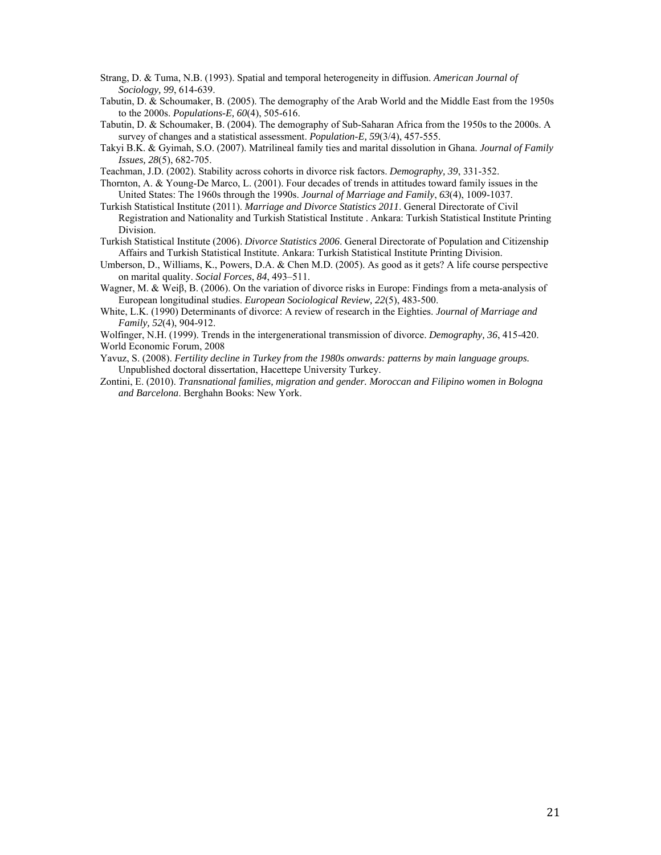Strang, D. & Tuma, N.B. (1993). Spatial and temporal heterogeneity in diffusion. *American Journal of Sociology, 99*, 614-639.

Tabutin, D. & Schoumaker, B. (2005). The demography of the Arab World and the Middle East from the 1950s to the 2000s. *Populations-E, 60*(4), 505-616.

Tabutin, D. & Schoumaker, B. (2004). The demography of Sub-Saharan Africa from the 1950s to the 2000s. A survey of changes and a statistical assessment. *Population-E, 59*(3/4), 457-555.

- Takyi B.K. & Gyimah, S.O. (2007). Matrilineal family ties and marital dissolution in Ghana. *Journal of Family Issues, 28*(5), 682-705.
- Teachman, J.D. (2002). Stability across cohorts in divorce risk factors. *Demography, 39*, 331-352.

Thornton, A. & Young-De Marco, L. (2001). Four decades of trends in attitudes toward family issues in the United States: The 1960s through the 1990s. *Journal of Marriage and Family*, *63*(4), 1009-1037.

- Turkish Statistical Institute (2011). *Marriage and Divorce Statistics 2011*. General Directorate of Civil Registration and Nationality and Turkish Statistical Institute . Ankara: Turkish Statistical Institute Printing Division.
- Turkish Statistical Institute (2006). *Divorce Statistics 2006*. General Directorate of Population and Citizenship Affairs and Turkish Statistical Institute. Ankara: Turkish Statistical Institute Printing Division.
- Umberson, D., Williams, K., Powers, D.A. & Chen M.D. (2005). As good as it gets? A life course perspective on marital quality. *Social Forces*, *84*, 493–511.
- Wagner, M. & Weiβ, B. (2006). On the variation of divorce risks in Europe: Findings from a meta-analysis of European longitudinal studies. *European Sociological Review, 22*(5), 483-500.
- White, L.K. (1990) Determinants of divorce: A review of research in the Eighties. *Journal of Marriage and Family, 52*(4), 904-912.

Wolfinger, N.H. (1999). Trends in the intergenerational transmission of divorce. *Demography, 36*, 415-420. World Economic Forum, 2008

Yavuz, S. (2008). *Fertility decline in Turkey from the 1980s onwards: patterns by main language groups.*  Unpublished doctoral dissertation, Hacettepe University Turkey.

Zontini, E. (2010). *Transnational families, migration and gender. Moroccan and Filipino women in Bologna and Barcelona*. Berghahn Books: New York.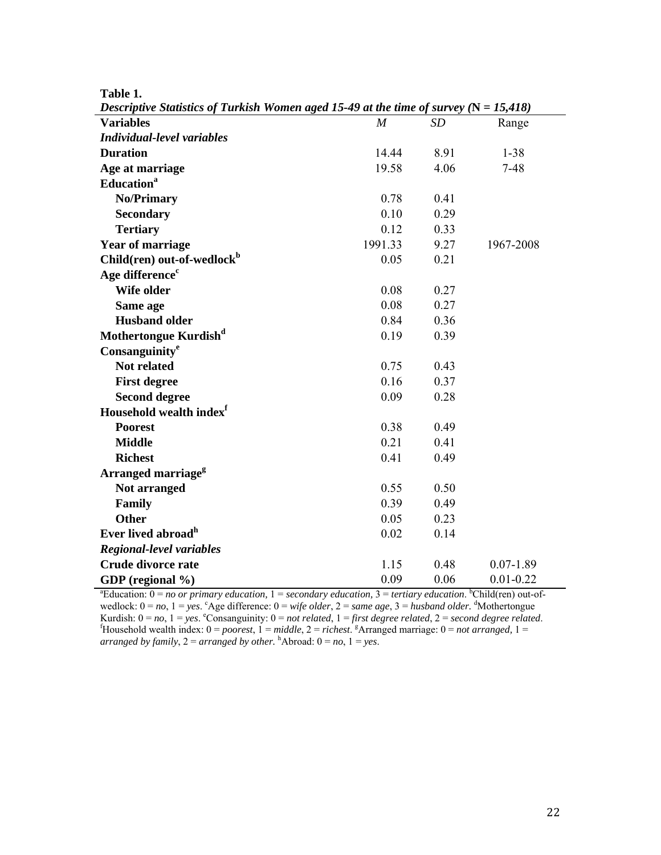|  | ablo |  |  |
|--|------|--|--|
|--|------|--|--|

| Descriptive Statistics of Turkish Women aged 15-49 at the time of survey $(N = 15,418)$                                                      |                  |      |               |  |  |
|----------------------------------------------------------------------------------------------------------------------------------------------|------------------|------|---------------|--|--|
| <b>Variables</b>                                                                                                                             | $\boldsymbol{M}$ | SD   | Range         |  |  |
| <b>Individual-level variables</b>                                                                                                            |                  |      |               |  |  |
| <b>Duration</b>                                                                                                                              | 14.44            | 8.91 | $1 - 38$      |  |  |
| Age at marriage                                                                                                                              | 19.58            | 4.06 | $7 - 48$      |  |  |
| <b>Education</b> <sup>a</sup>                                                                                                                |                  |      |               |  |  |
| <b>No/Primary</b>                                                                                                                            | 0.78             | 0.41 |               |  |  |
| <b>Secondary</b>                                                                                                                             | 0.10             | 0.29 |               |  |  |
| <b>Tertiary</b>                                                                                                                              | 0.12             | 0.33 |               |  |  |
| <b>Year of marriage</b>                                                                                                                      | 1991.33          | 9.27 | 1967-2008     |  |  |
| Child(ren) out-of-wedlock <sup>b</sup>                                                                                                       | 0.05             | 0.21 |               |  |  |
| Age difference <sup>c</sup>                                                                                                                  |                  |      |               |  |  |
| Wife older                                                                                                                                   | 0.08             | 0.27 |               |  |  |
| Same age                                                                                                                                     | 0.08             | 0.27 |               |  |  |
| <b>Husband older</b>                                                                                                                         | 0.84             | 0.36 |               |  |  |
| Mothertongue Kurdish <sup>d</sup>                                                                                                            | 0.19             | 0.39 |               |  |  |
| Consanguinity <sup>e</sup>                                                                                                                   |                  |      |               |  |  |
| <b>Not related</b>                                                                                                                           | 0.75             | 0.43 |               |  |  |
| <b>First degree</b>                                                                                                                          | 0.16             | 0.37 |               |  |  |
| <b>Second degree</b>                                                                                                                         | 0.09             | 0.28 |               |  |  |
| Household wealth index <sup>f</sup>                                                                                                          |                  |      |               |  |  |
| <b>Poorest</b>                                                                                                                               | 0.38             | 0.49 |               |  |  |
| <b>Middle</b>                                                                                                                                | 0.21             | 0.41 |               |  |  |
| <b>Richest</b>                                                                                                                               | 0.41             | 0.49 |               |  |  |
| Arranged marriage <sup>g</sup>                                                                                                               |                  |      |               |  |  |
| Not arranged                                                                                                                                 | 0.55             | 0.50 |               |  |  |
| Family                                                                                                                                       | 0.39             | 0.49 |               |  |  |
| <b>Other</b>                                                                                                                                 | 0.05             | 0.23 |               |  |  |
| Ever lived abroad <sup>h</sup>                                                                                                               | 0.02             | 0.14 |               |  |  |
| <b>Regional-level variables</b>                                                                                                              |                  |      |               |  |  |
| Crude divorce rate                                                                                                                           | 1.15             | 0.48 | $0.07 - 1.89$ |  |  |
| GDP (regional %)                                                                                                                             | 0.09             | 0.06 | $0.01 - 0.22$ |  |  |
| <sup>a</sup> Education: $0 = no$ or primary education, $1 = secondary$ education, $3 = t$ ertiary education. <sup>b</sup> Child(ren) out-of- |                  |      |               |  |  |

wedlock:  $0 = no$ ,  $1 = yes$ . Age difference:  $0 = wife$  *older*,  $2 = same$  *age*,  $3 = husband$  *older*. <sup>d</sup>Mothertongue Kurdish:  $0 = no$ ,  $1 = yes$ . Consanguinity:  $0 = not$  related,  $1 = first$  degree related,  $2 = second$  degree related.<br>
Follower Figures Felated.  $1 = middle$ ,  $2 = richest$ .  $A$  arranged marriage:  $0 = not$  arranged,  $1 =$ *arranged by family,*  $2 = \text{arranged by other.}$   $^{h}$  Abroad:  $0 = no$ ,  $1 = yes$ .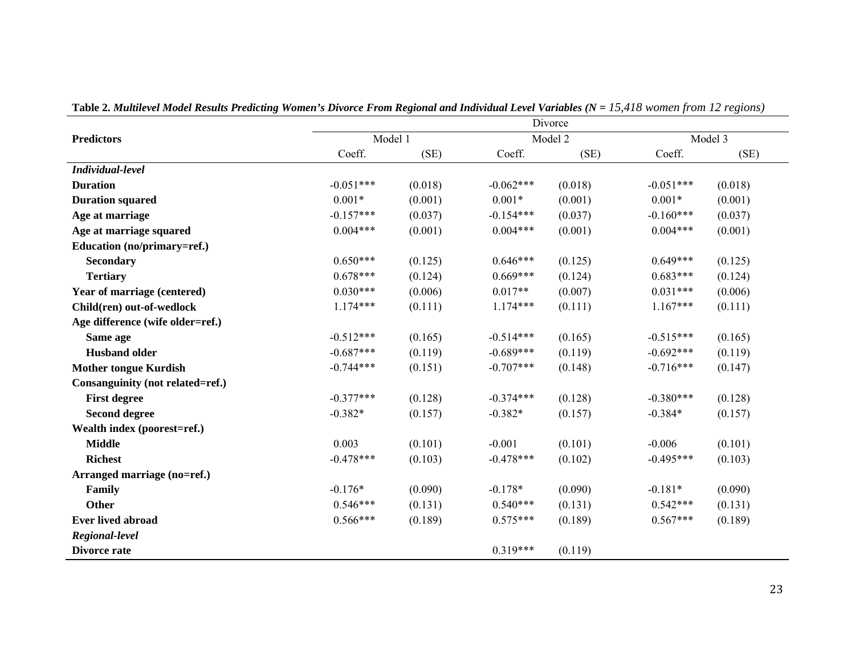|                                  | Divorce            |         |             |         |             |         |  |  |  |
|----------------------------------|--------------------|---------|-------------|---------|-------------|---------|--|--|--|
| <b>Predictors</b>                | Model 1<br>Model 2 |         |             |         | Model 3     |         |  |  |  |
|                                  | Coeff.             | (SE)    | Coeff.      | (SE)    | Coeff.      | (SE)    |  |  |  |
| Individual-level                 |                    |         |             |         |             |         |  |  |  |
| <b>Duration</b>                  | $-0.051***$        | (0.018) | $-0.062***$ | (0.018) | $-0.051***$ | (0.018) |  |  |  |
| <b>Duration squared</b>          | $0.001*$           | (0.001) | $0.001*$    | (0.001) | $0.001*$    | (0.001) |  |  |  |
| Age at marriage                  | $-0.157***$        | (0.037) | $-0.154***$ | (0.037) | $-0.160***$ | (0.037) |  |  |  |
| Age at marriage squared          | $0.004***$         | (0.001) | $0.004***$  | (0.001) | $0.004***$  | (0.001) |  |  |  |
| Education (no/primary=ref.)      |                    |         |             |         |             |         |  |  |  |
| <b>Secondary</b>                 | $0.650***$         | (0.125) | $0.646***$  | (0.125) | $0.649***$  | (0.125) |  |  |  |
| <b>Tertiary</b>                  | $0.678***$         | (0.124) | $0.669***$  | (0.124) | $0.683***$  | (0.124) |  |  |  |
| Year of marriage (centered)      | $0.030***$         | (0.006) | $0.017**$   | (0.007) | $0.031***$  | (0.006) |  |  |  |
| Child(ren) out-of-wedlock        | $1.174***$         | (0.111) | $1.174***$  | (0.111) | $1.167***$  | (0.111) |  |  |  |
| Age difference (wife older=ref.) |                    |         |             |         |             |         |  |  |  |
| Same age                         | $-0.512***$        | (0.165) | $-0.514***$ | (0.165) | $-0.515***$ | (0.165) |  |  |  |
| <b>Husband older</b>             | $-0.687***$        | (0.119) | $-0.689***$ | (0.119) | $-0.692***$ | (0.119) |  |  |  |
| <b>Mother tongue Kurdish</b>     | $-0.744***$        | (0.151) | $-0.707***$ | (0.148) | $-0.716***$ | (0.147) |  |  |  |
| Consanguinity (not related=ref.) |                    |         |             |         |             |         |  |  |  |
| <b>First degree</b>              | $-0.377***$        | (0.128) | $-0.374***$ | (0.128) | $-0.380***$ | (0.128) |  |  |  |
| <b>Second degree</b>             | $-0.382*$          | (0.157) | $-0.382*$   | (0.157) | $-0.384*$   | (0.157) |  |  |  |
| Wealth index (poorest=ref.)      |                    |         |             |         |             |         |  |  |  |
| <b>Middle</b>                    | 0.003              | (0.101) | $-0.001$    | (0.101) | $-0.006$    | (0.101) |  |  |  |
| <b>Richest</b>                   | $-0.478***$        | (0.103) | $-0.478***$ | (0.102) | $-0.495***$ | (0.103) |  |  |  |
| Arranged marriage (no=ref.)      |                    |         |             |         |             |         |  |  |  |
| Family                           | $-0.176*$          | (0.090) | $-0.178*$   | (0.090) | $-0.181*$   | (0.090) |  |  |  |
| Other                            | $0.546***$         | (0.131) | $0.540***$  | (0.131) | $0.542***$  | (0.131) |  |  |  |
| <b>Ever lived abroad</b>         | $0.566***$         | (0.189) | $0.575***$  | (0.189) | $0.567***$  | (0.189) |  |  |  |
| Regional-level                   |                    |         |             |         |             |         |  |  |  |
| Divorce rate                     |                    |         | $0.319***$  | (0.119) |             |         |  |  |  |

Table 2. *Multilevel Model Results Predicting Women's Divorce From Regional and Individual Level Variables (N = 15,418 women from 12 regions)*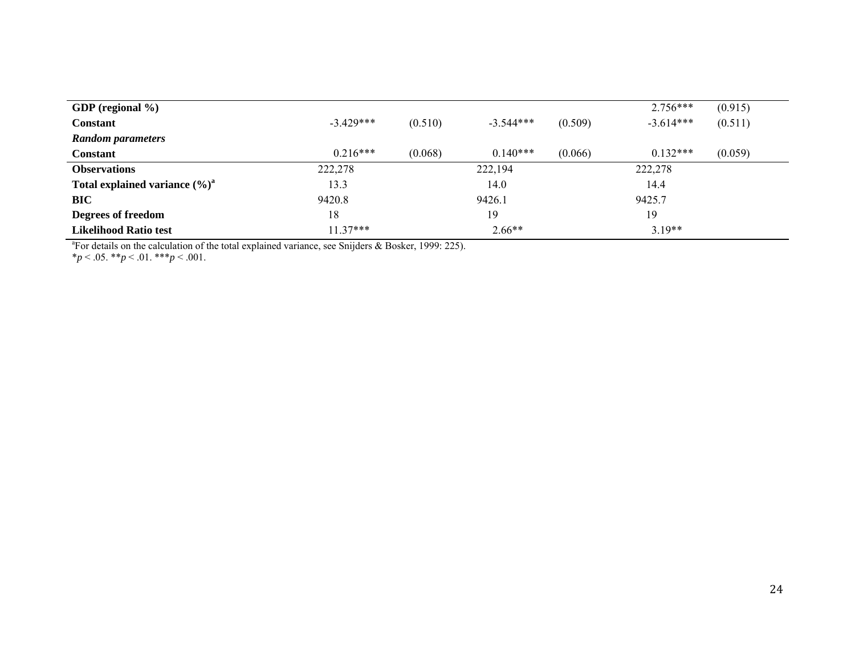|            |         |             |         | $2.756***$  | (0.915) |
|------------|---------|-------------|---------|-------------|---------|
| $-3429***$ | (0.510) | $-3.544***$ | (0.509) | $-3.614***$ | (0.511) |
|            |         |             |         |             |         |
| $0.216***$ | (0.068) | $0.140***$  | (0.066) | $0.132***$  | (0.059) |
| 222,278    |         | 222,194     |         | 222,278     |         |
| 13.3       |         | 14.0        |         | 14.4        |         |
| 9420.8     |         | 9426.1      |         | 9425.7      |         |
| 18         |         | 19          |         | 19          |         |
| $11.37***$ |         | $2.66**$    |         | $3.19**$    |         |
|            |         |             |         |             |         |

<sup>a</sup>For details on the calculation of the total explained variance, see Snijders  $\&$  Bosker, 1999: 225).

\**p* < .05. \*\**p* < .01. \*\*\**p* < .001.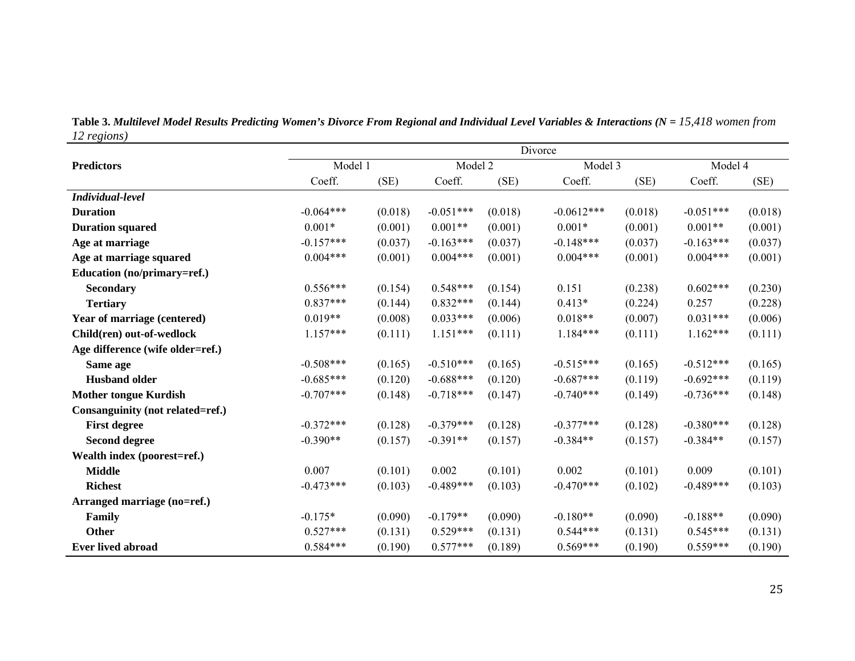| Table 3. Multilevel Model Results Predicting Women's Divorce From Regional and Individual Level Variables & Interactions ( $N = 15,418$ women from |  |  |
|----------------------------------------------------------------------------------------------------------------------------------------------------|--|--|
| 12 regions)                                                                                                                                        |  |  |

|                                  | Divorce     |         |             |         |              |         |             |         |
|----------------------------------|-------------|---------|-------------|---------|--------------|---------|-------------|---------|
| <b>Predictors</b>                | Model 1     |         | Model 2     |         | Model 3      |         | Model 4     |         |
|                                  | Coeff.      | (SE)    | Coeff.      | (SE)    | Coeff.       | (SE)    | Coeff.      | (SE)    |
| Individual-level                 |             |         |             |         |              |         |             |         |
| <b>Duration</b>                  | $-0.064***$ | (0.018) | $-0.051***$ | (0.018) | $-0.0612***$ | (0.018) | $-0.051***$ | (0.018) |
| <b>Duration squared</b>          | $0.001*$    | (0.001) | $0.001**$   | (0.001) | $0.001*$     | (0.001) | $0.001**$   | (0.001) |
| Age at marriage                  | $-0.157***$ | (0.037) | $-0.163***$ | (0.037) | $-0.148***$  | (0.037) | $-0.163***$ | (0.037) |
| Age at marriage squared          | $0.004***$  | (0.001) | $0.004***$  | (0.001) | $0.004***$   | (0.001) | $0.004***$  | (0.001) |
| Education (no/primary=ref.)      |             |         |             |         |              |         |             |         |
| <b>Secondary</b>                 | $0.556***$  | (0.154) | $0.548***$  | (0.154) | 0.151        | (0.238) | $0.602***$  | (0.230) |
| <b>Tertiary</b>                  | $0.837***$  | (0.144) | $0.832***$  | (0.144) | $0.413*$     | (0.224) | 0.257       | (0.228) |
| Year of marriage (centered)      | $0.019**$   | (0.008) | $0.033***$  | (0.006) | $0.018**$    | (0.007) | $0.031***$  | (0.006) |
| Child(ren) out-of-wedlock        | $1.157***$  | (0.111) | $1.151***$  | (0.111) | $1.184***$   | (0.111) | $1.162***$  | (0.111) |
| Age difference (wife older=ref.) |             |         |             |         |              |         |             |         |
| Same age                         | $-0.508***$ | (0.165) | $-0.510***$ | (0.165) | $-0.515***$  | (0.165) | $-0.512***$ | (0.165) |
| <b>Husband older</b>             | $-0.685***$ | (0.120) | $-0.688***$ | (0.120) | $-0.687***$  | (0.119) | $-0.692***$ | (0.119) |
| <b>Mother tongue Kurdish</b>     | $-0.707***$ | (0.148) | $-0.718***$ | (0.147) | $-0.740***$  | (0.149) | $-0.736***$ | (0.148) |
| Consanguinity (not related=ref.) |             |         |             |         |              |         |             |         |
| <b>First degree</b>              | $-0.372***$ | (0.128) | $-0.379***$ | (0.128) | $-0.377***$  | (0.128) | $-0.380***$ | (0.128) |
| <b>Second degree</b>             | $-0.390**$  | (0.157) | $-0.391**$  | (0.157) | $-0.384**$   | (0.157) | $-0.384**$  | (0.157) |
| Wealth index (poorest=ref.)      |             |         |             |         |              |         |             |         |
| <b>Middle</b>                    | 0.007       | (0.101) | 0.002       | (0.101) | 0.002        | (0.101) | 0.009       | (0.101) |
| <b>Richest</b>                   | $-0.473***$ | (0.103) | $-0.489***$ | (0.103) | $-0.470***$  | (0.102) | $-0.489***$ | (0.103) |
| Arranged marriage (no=ref.)      |             |         |             |         |              |         |             |         |
| Family                           | $-0.175*$   | (0.090) | $-0.179**$  | (0.090) | $-0.180**$   | (0.090) | $-0.188**$  | (0.090) |
| Other                            | $0.527***$  | (0.131) | $0.529***$  | (0.131) | $0.544***$   | (0.131) | $0.545***$  | (0.131) |
| <b>Ever lived abroad</b>         | $0.584***$  | (0.190) | $0.577***$  | (0.189) | $0.569***$   | (0.190) | $0.559***$  | (0.190) |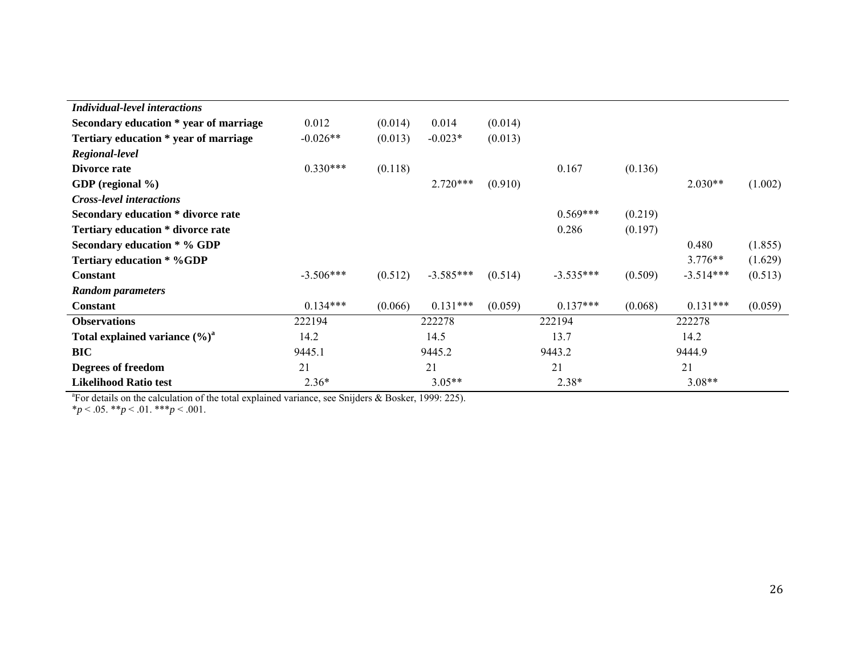| 0.012       | (0.014) | 0.014       | (0.014) |             |         |             |         |
|-------------|---------|-------------|---------|-------------|---------|-------------|---------|
| $-0.026**$  | (0.013) | $-0.023*$   | (0.013) |             |         |             |         |
|             |         |             |         |             |         |             |         |
| $0.330***$  | (0.118) |             |         | 0.167       | (0.136) |             |         |
|             |         | $2.720***$  | (0.910) |             |         | $2.030**$   | (1.002) |
|             |         |             |         |             |         |             |         |
|             |         |             |         | $0.569***$  | (0.219) |             |         |
|             |         |             |         | 0.286       | (0.197) |             |         |
|             |         |             |         |             |         | 0.480       | (1.855) |
|             |         |             |         |             |         | $3.776**$   | (1.629) |
| $-3.506***$ | (0.512) | $-3.585***$ | (0.514) | $-3.535***$ | (0.509) | $-3.514***$ | (0.513) |
|             |         |             |         |             |         |             |         |
| $0.134***$  | (0.066) | $0.131***$  | (0.059) | $0.137***$  | (0.068) | $0.131***$  | (0.059) |
| 222194      |         | 222278      |         | 222194      |         | 222278      |         |
| 14.2        |         | 14.5        |         | 13.7        | 14.2    |             |         |
| 9445.1      |         | 9445.2      |         | 9443.2      |         | 9444.9      |         |
| 21          |         | 21<br>21    |         | 21          |         |             |         |
| $2.36*$     |         | $3.05**$    |         | $2.38*$     |         | $3.08**$    |         |
|             |         |             |         |             |         |             |         |

<sup>a</sup>For details on the calculation of the total explained variance, see Snijders  $\&$  Bosker, 1999: 225).

\**p* < .05. \*\**p* < .01. \*\*\**p* < .001.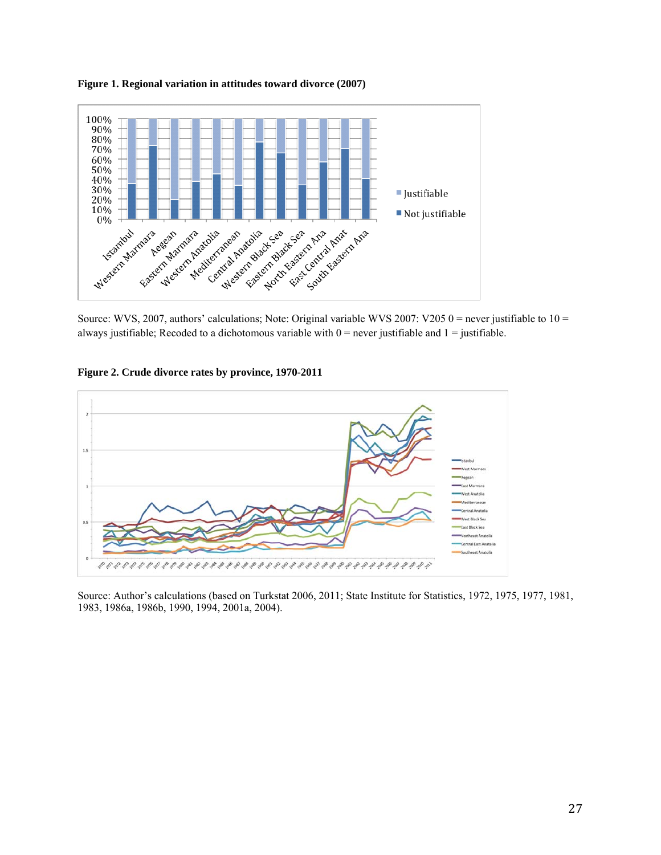

**Figure 1. Regional variation in attitudes toward divorce (2007)** 

Source: WVS, 2007, authors' calculations; Note: Original variable WVS 2007: V205 0 = never justifiable to  $10 =$ always justifiable; Recoded to a dichotomous variable with  $0 =$  never justifiable and  $1 =$  justifiable.





Source: Author's calculations (based on Turkstat 2006, 2011; State Institute for Statistics, 1972, 1975, 1977, 1981, 1983, 1986a, 1986b, 1990, 1994, 2001a, 2004).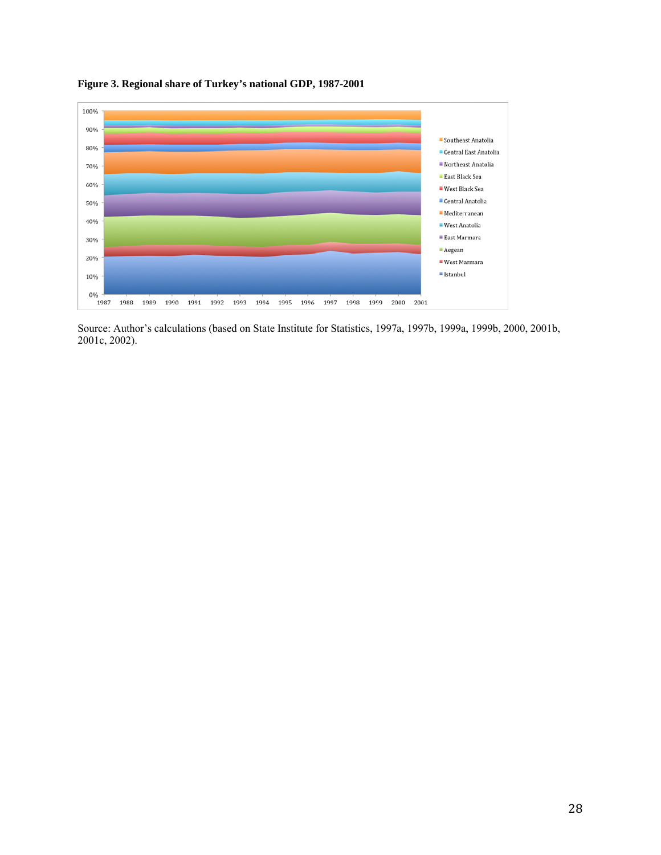

**Figure 3. Regional share of Turkey's national GDP, 1987-2001** 

Source: Author's calculations (based on State Institute for Statistics, 1997a, 1997b, 1999a, 1999b, 2000, 2001b, 2001c, 2002).